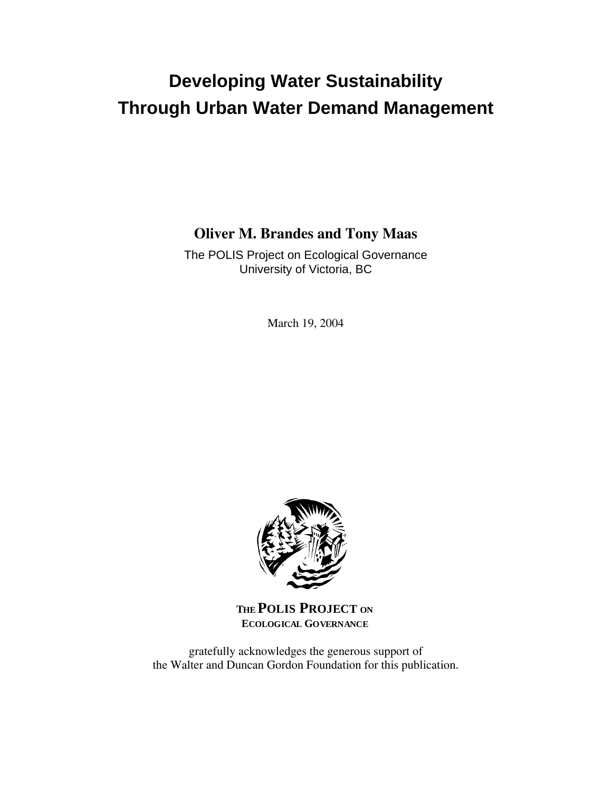# **Developing Water Sustainability Through Urban Water Demand Management**

## **Oliver M. Brandes and Tony Maas**

The POLIS Project on Ecological Governance University of Victoria, BC

March 19, 2004



**THE POLIS PROJECT ON ECOLOGICAL GOVERNANCE**

gratefully acknowledges the generous support of the Walter and Duncan Gordon Foundation for this publication.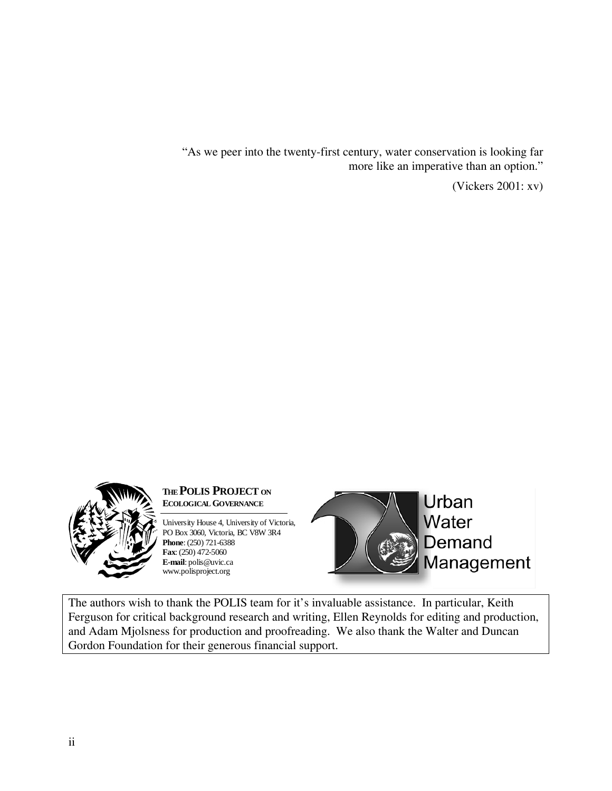"As we peer into the twenty-first century, water conservation is looking far more like an imperative than an option."

(Vickers 2001: xv)



## **THEPOLIS PROJECT ON ECOLOGICAL GOVERNANCE**

University House 4, University of Victoria, PO Box 3060, Victoria, BC V8W 3R4 **Phone**: (250) 721-6388 **Fax**: (250) 472-5060 **E-mail**: polis@uvic.ca www.polisproject.org



Urban Water Demand Management

The authors wish to thank the POLIS team for it's invaluable assistance. In particular, Keith Ferguson for critical background research and writing, Ellen Reynolds for editing and production, and Adam Mjolsness for production and proofreading. We also thank the Walter and Duncan Gordon Foundation for their generous financial support.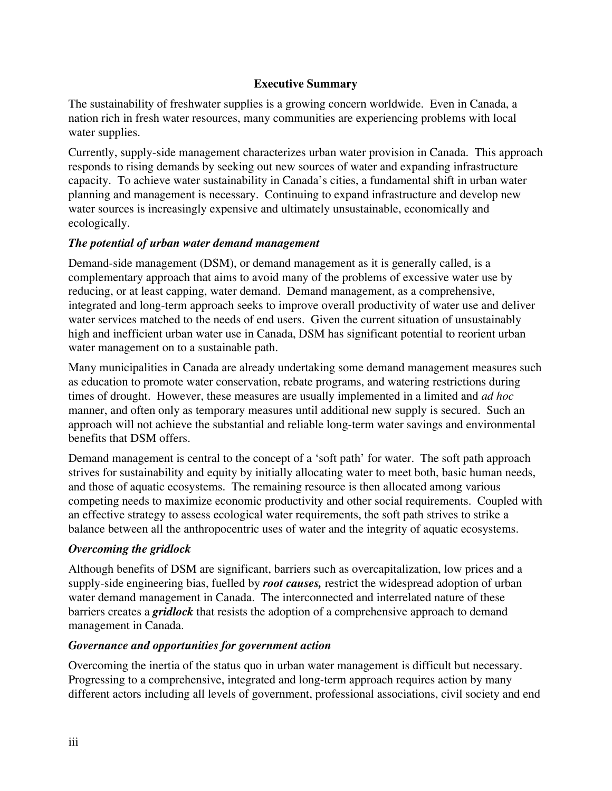### **Executive Summary**

The sustainability of freshwater supplies is a growing concern worldwide. Even in Canada, a nation rich in fresh water resources, many communities are experiencing problems with local water supplies.

Currently, supply-side management characterizes urban water provision in Canada. This approach responds to rising demands by seeking out new sources of water and expanding infrastructure capacity. To achieve water sustainability in Canada's cities, a fundamental shift in urban water planning and management is necessary. Continuing to expand infrastructure and develop new water sources is increasingly expensive and ultimately unsustainable, economically and ecologically.

## *The potential of urban water demand management*

Demand-side management (DSM), or demand management as it is generally called, is a complementary approach that aims to avoid many of the problems of excessive water use by reducing, or at least capping, water demand. Demand management, as a comprehensive, integrated and long-term approach seeks to improve overall productivity of water use and deliver water services matched to the needs of end users. Given the current situation of unsustainably high and inefficient urban water use in Canada, DSM has significant potential to reorient urban water management on to a sustainable path.

Many municipalities in Canada are already undertaking some demand management measures such as education to promote water conservation, rebate programs, and watering restrictions during times of drought. However, these measures are usually implemented in a limited and *ad hoc* manner, and often only as temporary measures until additional new supply is secured. Such an approach will not achieve the substantial and reliable long-term water savings and environmental benefits that DSM offers.

Demand management is central to the concept of a 'soft path' for water. The soft path approach strives for sustainability and equity by initially allocating water to meet both, basic human needs, and those of aquatic ecosystems. The remaining resource is then allocated among various competing needs to maximize economic productivity and other social requirements. Coupled with an effective strategy to assess ecological water requirements, the soft path strives to strike a balance between all the anthropocentric uses of water and the integrity of aquatic ecosystems.

## *Overcoming the gridlock*

Although benefits of DSM are significant, barriers such as overcapitalization, low prices and a supply-side engineering bias, fuelled by *root causes,* restrict the widespread adoption of urban water demand management in Canada. The interconnected and interrelated nature of these barriers creates a *gridlock* that resists the adoption of a comprehensive approach to demand management in Canada.

## *Governance and opportunities for government action*

Overcoming the inertia of the status quo in urban water management is difficult but necessary. Progressing to a comprehensive, integrated and long-term approach requires action by many different actors including all levels of government, professional associations, civil society and end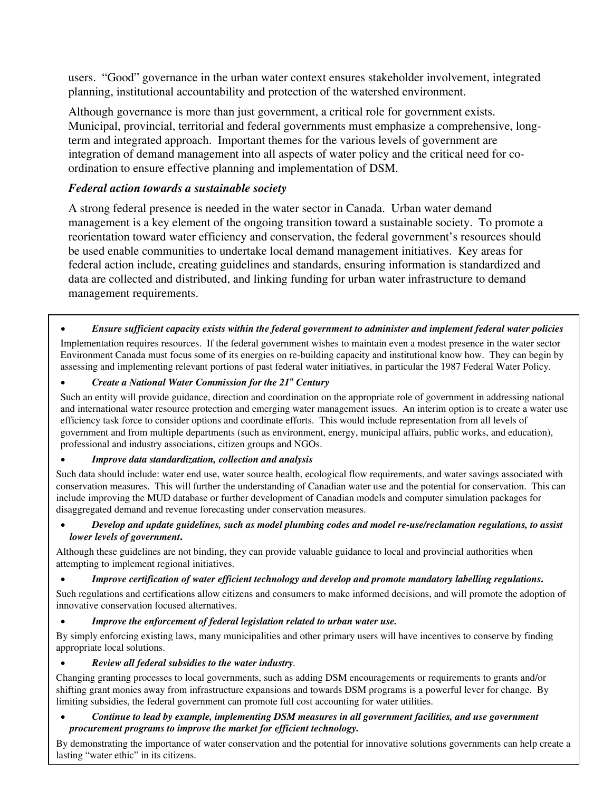users. "Good" governance in the urban water context ensures stakeholder involvement, integrated planning, institutional accountability and protection of the watershed environment.

Although governance is more than just government, a critical role for government exists. Municipal, provincial, territorial and federal governments must emphasize a comprehensive, longterm and integrated approach. Important themes for the various levels of government are integration of demand management into all aspects of water policy and the critical need for coordination to ensure effective planning and implementation of DSM.

### *Federal action towards a sustainable society*

A strong federal presence is needed in the water sector in Canada. Urban water demand management is a key element of the ongoing transition toward a sustainable society. To promote a reorientation toward water efficiency and conservation, the federal government's resources should be used enable communities to undertake local demand management initiatives. Key areas for federal action include, creating guidelines and standards, ensuring information is standardized and data are collected and distributed, and linking funding for urban water infrastructure to demand management requirements.

### • *Ensure sufficient capacity exists within the federal government to administer and implement federal water policies*

Implementation requires resources. If the federal government wishes to maintain even a modest presence in the water sector Environment Canada must focus some of its energies on re-building capacity and institutional know how. They can begin by assessing and implementing relevant portions of past federal water initiatives, in particular the 1987 Federal Water Policy.

• *Create a National Water Commission for the 21st Century*

Such an entity will provide guidance, direction and coordination on the appropriate role of government in addressing national and international water resource protection and emerging water management issues. An interim option is to create a water use efficiency task force to consider options and coordinate efforts. This would include representation from all levels of government and from multiple departments (such as environment, energy, municipal affairs, public works, and education), professional and industry associations, citizen groups and NGOs.

### • *Improve data standardization, collection and analysis*

Such data should include: water end use, water source health, ecological flow requirements, and water savings associated with conservation measures. This will further the understanding of Canadian water use and the potential for conservation. This can include improving the MUD database or further development of Canadian models and computer simulation packages for disaggregated demand and revenue forecasting under conservation measures.

### • *Develop and update guidelines, such as model plumbing codes and model re-use/reclamation regulations, to assist lower levels of government***.**

Although these guidelines are not binding, they can provide valuable guidance to local and provincial authorities when attempting to implement regional initiatives.

### • *Improve certification of water efficient technology and develop and promote mandatory labelling regulations***.**

Such regulations and certifications allow citizens and consumers to make informed decisions, and will promote the adoption of innovative conservation focused alternatives.

### • *Improve the enforcement of federal legislation related to urban water use.*

By simply enforcing existing laws, many municipalities and other primary users will have incentives to conserve by finding appropriate local solutions.

### • *Review all federal subsidies to the water industry.*

Changing granting processes to local governments, such as adding DSM encouragements or requirements to grants and/or shifting grant monies away from infrastructure expansions and towards DSM programs is a powerful lever for change. By limiting subsidies, the federal government can promote full cost accounting for water utilities.

### • *Continue to lead by example, implementing DSM measures in all government facilities, and use government procurement programs to improve the market for efficient technology.*

By demonstrating the importance of water conservation and the potential for innovative solutions governments can help create a lasting "water ethic" in its citizens.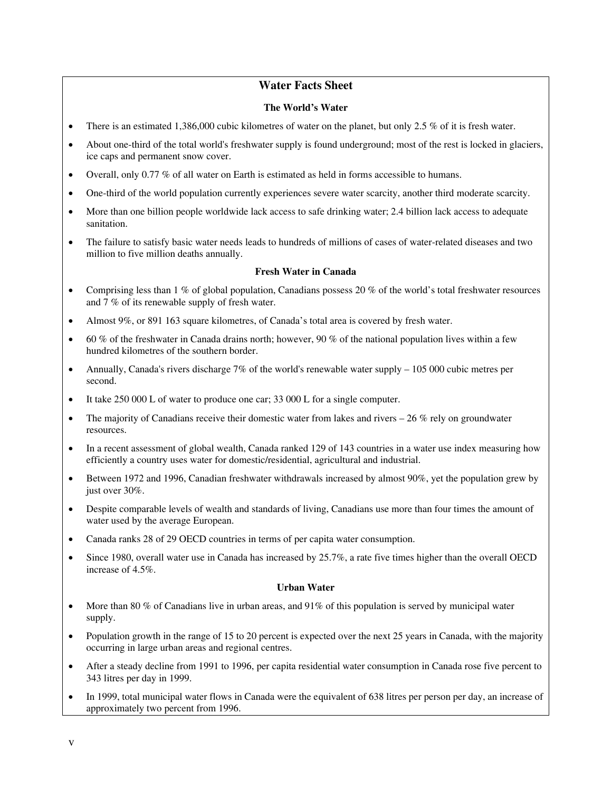### **Water Facts Sheet**

### **The World's Water**

- There is an estimated 1,386,000 cubic kilometres of water on the planet, but only 2.5 % of it is fresh water.
- About one-third of the total world's freshwater supply is found underground; most of the rest is locked in glaciers, ice caps and permanent snow cover.
- Overall, only 0.77 % of all water on Earth is estimated as held in forms accessible to humans.
- One-third of the world population currently experiences severe water scarcity, another third moderate scarcity.
- More than one billion people worldwide lack access to safe drinking water; 2.4 billion lack access to adequate sanitation.
- The failure to satisfy basic water needs leads to hundreds of millions of cases of water-related diseases and two million to five million deaths annually.

### **Fresh Water in Canada**

- Comprising less than  $1\%$  of global population, Canadians possess 20 % of the world's total freshwater resources and 7 % of its renewable supply of fresh water.
- Almost 9%, or 891 163 square kilometres, of Canada's total area is covered by fresh water.
- 60 % of the freshwater in Canada drains north; however, 90 % of the national population lives within a few hundred kilometres of the southern border.
- Annually, Canada's rivers discharge 7% of the world's renewable water supply 105 000 cubic metres per second.
- It take 250 000 L of water to produce one car; 33 000 L for a single computer.
- The majority of Canadians receive their domestic water from lakes and rivers  $-26\%$  rely on groundwater resources.
- In a recent assessment of global wealth, Canada ranked 129 of 143 countries in a water use index measuring how efficiently a country uses water for domestic/residential, agricultural and industrial.
- Between 1972 and 1996, Canadian freshwater withdrawals increased by almost 90%, yet the population grew by just over 30%.
- Despite comparable levels of wealth and standards of living, Canadians use more than four times the amount of water used by the average European.
- Canada ranks 28 of 29 OECD countries in terms of per capita water consumption.
- Since 1980, overall water use in Canada has increased by 25.7%, a rate five times higher than the overall OECD increase of 4.5%.

#### **Urban Water**

- More than 80 % of Canadians live in urban areas, and 91% of this population is served by municipal water supply.
- Population growth in the range of 15 to 20 percent is expected over the next 25 years in Canada, with the majority occurring in large urban areas and regional centres.
- After a steady decline from 1991 to 1996, per capita residential water consumption in Canada rose five percent to 343 litres per day in 1999.
- In 1999, total municipal water flows in Canada were the equivalent of 638 litres per person per day, an increase of approximately two percent from 1996.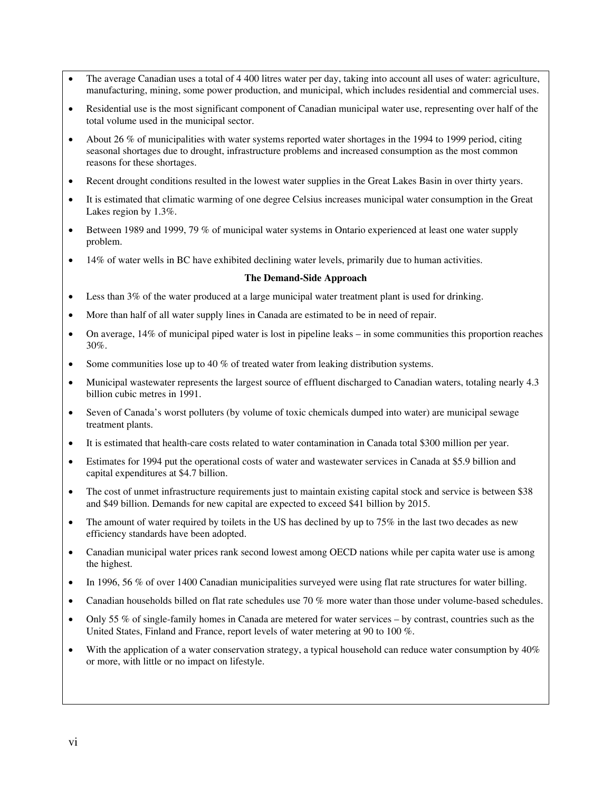- The average Canadian uses a total of 4 400 litres water per day, taking into account all uses of water: agriculture, manufacturing, mining, some power production, and municipal, which includes residential and commercial uses.
- Residential use is the most significant component of Canadian municipal water use, representing over half of the total volume used in the municipal sector.
- About 26 % of municipalities with water systems reported water shortages in the 1994 to 1999 period, citing seasonal shortages due to drought, infrastructure problems and increased consumption as the most common reasons for these shortages.
- Recent drought conditions resulted in the lowest water supplies in the Great Lakes Basin in over thirty years.
- It is estimated that climatic warming of one degree Celsius increases municipal water consumption in the Great Lakes region by 1.3%.
- Between 1989 and 1999, 79 % of municipal water systems in Ontario experienced at least one water supply problem.
- 14% of water wells in BC have exhibited declining water levels, primarily due to human activities.

#### **The Demand-Side Approach**

- Less than 3% of the water produced at a large municipal water treatment plant is used for drinking.
- More than half of all water supply lines in Canada are estimated to be in need of repair.
- On average, 14% of municipal piped water is lost in pipeline leaks in some communities this proportion reaches 30%.
- Some communities lose up to 40 % of treated water from leaking distribution systems.
- Municipal wastewater represents the largest source of effluent discharged to Canadian waters, totaling nearly 4.3 billion cubic metres in 1991.
- Seven of Canada's worst polluters (by volume of toxic chemicals dumped into water) are municipal sewage treatment plants.
- It is estimated that health-care costs related to water contamination in Canada total \$300 million per year.
- Estimates for 1994 put the operational costs of water and wastewater services in Canada at \$5.9 billion and capital expenditures at \$4.7 billion.
- The cost of unmet infrastructure requirements just to maintain existing capital stock and service is between \$38 and \$49 billion. Demands for new capital are expected to exceed \$41 billion by 2015.
- The amount of water required by toilets in the US has declined by up to 75% in the last two decades as new efficiency standards have been adopted.
- Canadian municipal water prices rank second lowest among OECD nations while per capita water use is among the highest.
- In 1996, 56 % of over 1400 Canadian municipalities surveyed were using flat rate structures for water billing.
- Canadian households billed on flat rate schedules use 70 % more water than those under volume-based schedules.
- Only 55 % of single-family homes in Canada are metered for water services by contrast, countries such as the United States, Finland and France, report levels of water metering at 90 to 100 %.
- With the application of a water conservation strategy, a typical household can reduce water consumption by  $40\%$ or more, with little or no impact on lifestyle.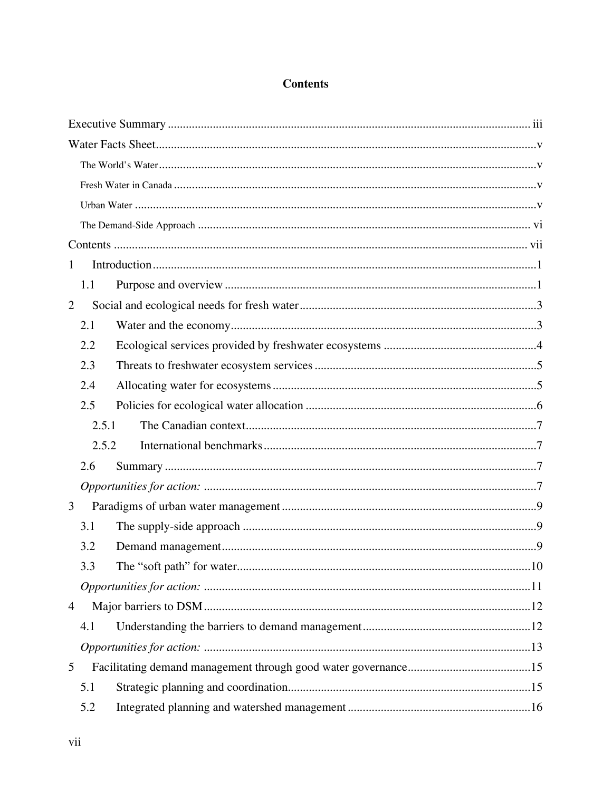## **Contents**

| $\mathbf{1}$   |       |  |
|----------------|-------|--|
|                | 1.1   |  |
| $\overline{2}$ |       |  |
|                | 2.1   |  |
|                | 2.2   |  |
|                | 2.3   |  |
|                | 2.4   |  |
|                | 2.5   |  |
|                | 2.5.1 |  |
|                | 2.5.2 |  |
|                | 2.6   |  |
|                |       |  |
| 3              |       |  |
|                | 3.1   |  |
|                | 3.2   |  |
|                | 3.3   |  |
|                |       |  |
| 4              |       |  |
|                | 4.1   |  |
|                |       |  |
| 5              |       |  |
|                | 5.1   |  |
|                | 5.2   |  |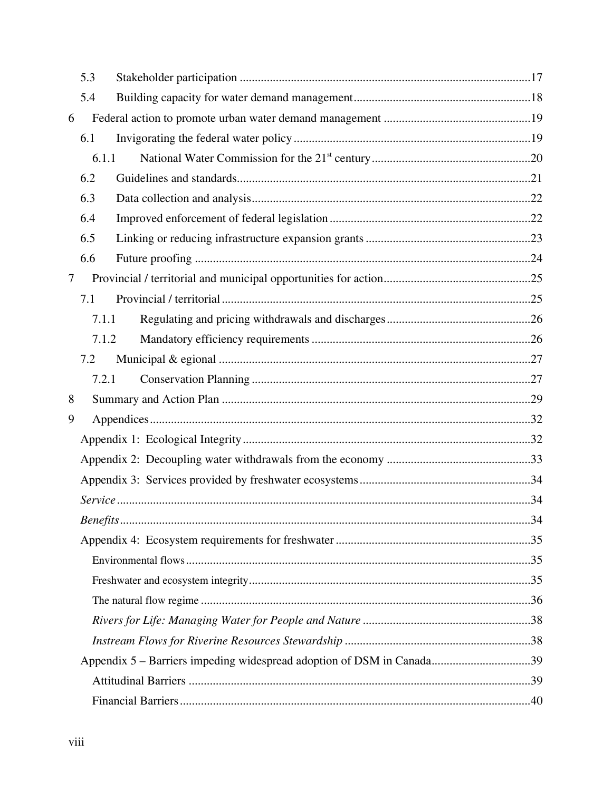|   | 5.3   |                                                                       |  |
|---|-------|-----------------------------------------------------------------------|--|
|   | 5.4   |                                                                       |  |
| 6 |       |                                                                       |  |
|   | 6.1   |                                                                       |  |
|   | 6.1.1 |                                                                       |  |
|   | 6.2   |                                                                       |  |
|   | 6.3   |                                                                       |  |
|   | 6.4   |                                                                       |  |
|   | 6.5   |                                                                       |  |
|   | 6.6   |                                                                       |  |
| 7 |       |                                                                       |  |
|   | 7.1   |                                                                       |  |
|   | 7.1.1 |                                                                       |  |
|   | 7.1.2 |                                                                       |  |
|   | 7.2   |                                                                       |  |
|   | 7.2.1 |                                                                       |  |
| 8 |       |                                                                       |  |
| 9 |       |                                                                       |  |
|   |       |                                                                       |  |
|   |       |                                                                       |  |
|   |       |                                                                       |  |
|   |       |                                                                       |  |
|   |       |                                                                       |  |
|   |       |                                                                       |  |
|   |       |                                                                       |  |
|   |       |                                                                       |  |
|   |       |                                                                       |  |
|   |       |                                                                       |  |
|   |       |                                                                       |  |
|   |       | Appendix 5 – Barriers impeding widespread adoption of DSM in Canada39 |  |
|   |       |                                                                       |  |
|   |       |                                                                       |  |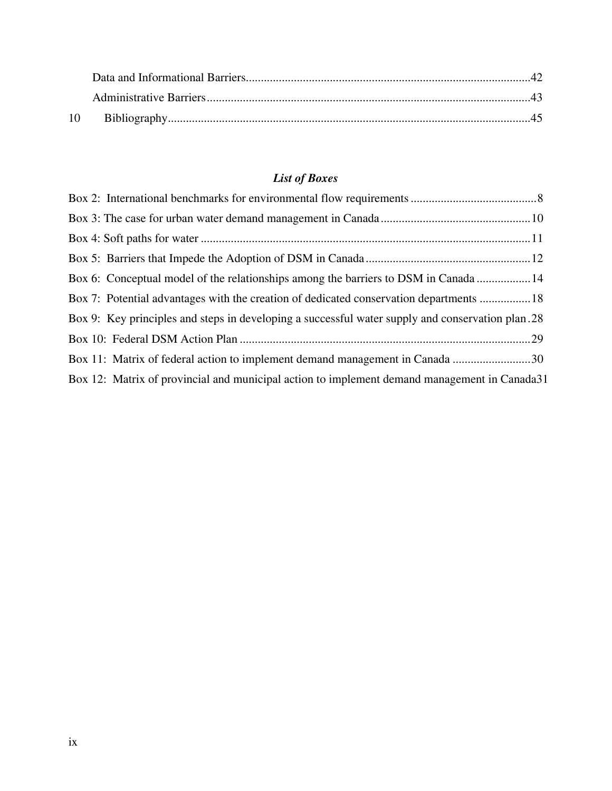## *List of Boxes*

| Box 6: Conceptual model of the relationships among the barriers to DSM in Canada  14              |  |
|---------------------------------------------------------------------------------------------------|--|
| Box 7: Potential advantages with the creation of dedicated conservation departments 18            |  |
| Box 9: Key principles and steps in developing a successful water supply and conservation plan. 28 |  |
|                                                                                                   |  |
| Box 11: Matrix of federal action to implement demand management in Canada 30                      |  |
| Box 12: Matrix of provincial and municipal action to implement demand management in Canada31      |  |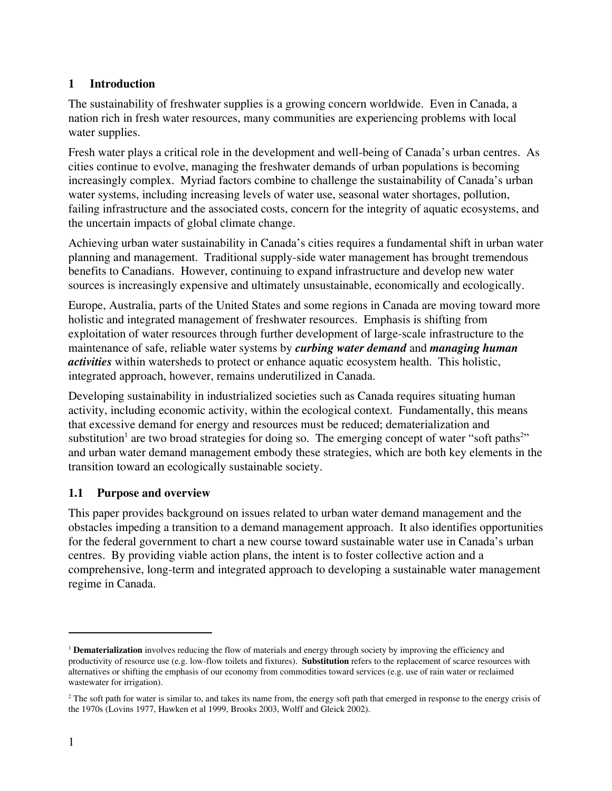## **1 Introduction**

The sustainability of freshwater supplies is a growing concern worldwide. Even in Canada, a nation rich in fresh water resources, many communities are experiencing problems with local water supplies.

Fresh water plays a critical role in the development and well-being of Canada's urban centres. As cities continue to evolve, managing the freshwater demands of urban populations is becoming increasingly complex. Myriad factors combine to challenge the sustainability of Canada's urban water systems, including increasing levels of water use, seasonal water shortages, pollution, failing infrastructure and the associated costs, concern for the integrity of aquatic ecosystems, and the uncertain impacts of global climate change.

Achieving urban water sustainability in Canada's cities requires a fundamental shift in urban water planning and management. Traditional supply-side water management has brought tremendous benefits to Canadians. However, continuing to expand infrastructure and develop new water sources is increasingly expensive and ultimately unsustainable, economically and ecologically.

Europe, Australia, parts of the United States and some regions in Canada are moving toward more holistic and integrated management of freshwater resources. Emphasis is shifting from exploitation of water resources through further development of large-scale infrastructure to the maintenance of safe, reliable water systems by *curbing water demand* and *managing human activities* within watersheds to protect or enhance aquatic ecosystem health. This holistic, integrated approach, however, remains underutilized in Canada.

Developing sustainability in industrialized societies such as Canada requires situating human activity, including economic activity, within the ecological context. Fundamentally, this means that excessive demand for energy and resources must be reduced; dematerialization and substitution<sup>1</sup> are two broad strategies for doing so. The emerging concept of water "soft paths" and urban water demand management embody these strategies, which are both key elements in the transition toward an ecologically sustainable society.

## **1.1 Purpose and overview**

This paper provides background on issues related to urban water demand management and the obstacles impeding a transition to a demand management approach. It also identifies opportunities for the federal government to chart a new course toward sustainable water use in Canada's urban centres. By providing viable action plans, the intent is to foster collective action and a comprehensive, long-term and integrated approach to developing a sustainable water management regime in Canada.

<sup>&</sup>lt;sup>1</sup> **Dematerialization** involves reducing the flow of materials and energy through society by improving the efficiency and productivity of resource use (e.g. low-flow toilets and fixtures). **Substitution** refers to the replacement of scarce resources with alternatives or shifting the emphasis of our economy from commodities toward services (e.g. use of rain water or reclaimed wastewater for irrigation).

 $2<sup>2</sup>$  The soft path for water is similar to, and takes its name from, the energy soft path that emerged in response to the energy crisis of the 1970s (Lovins 1977, Hawken et al 1999, Brooks 2003, Wolff and Gleick 2002).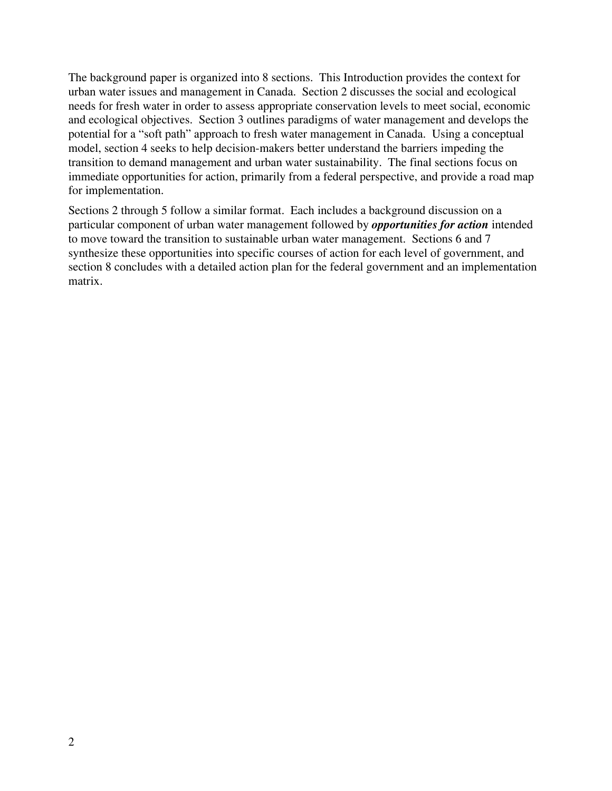The background paper is organized into 8 sections. This Introduction provides the context for urban water issues and management in Canada. Section 2 discusses the social and ecological needs for fresh water in order to assess appropriate conservation levels to meet social, economic and ecological objectives. Section 3 outlines paradigms of water management and develops the potential for a "soft path" approach to fresh water management in Canada. Using a conceptual model, section 4 seeks to help decision-makers better understand the barriers impeding the transition to demand management and urban water sustainability. The final sections focus on immediate opportunities for action, primarily from a federal perspective, and provide a road map for implementation.

Sections 2 through 5 follow a similar format. Each includes a background discussion on a particular component of urban water management followed by *opportunities for action* intended to move toward the transition to sustainable urban water management. Sections 6 and 7 synthesize these opportunities into specific courses of action for each level of government, and section 8 concludes with a detailed action plan for the federal government and an implementation matrix.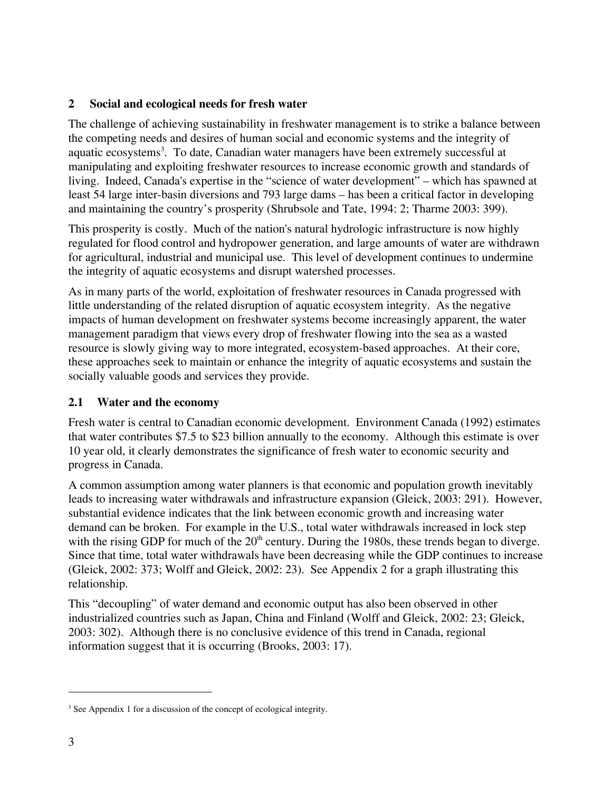## **2 Social and ecological needs for fresh water**

The challenge of achieving sustainability in freshwater management is to strike a balance between the competing needs and desires of human social and economic systems and the integrity of aquatic ecosystems<sup>3</sup>. To date, Canadian water managers have been extremely successful at manipulating and exploiting freshwater resources to increase economic growth and standards of living. Indeed, Canada's expertise in the "science of water development" – which has spawned at least 54 large inter-basin diversions and 793 large dams – has been a critical factor in developing and maintaining the country's prosperity (Shrubsole and Tate, 1994: 2; Tharme 2003: 399).

This prosperity is costly. Much of the nation's natural hydrologic infrastructure is now highly regulated for flood control and hydropower generation, and large amounts of water are withdrawn for agricultural, industrial and municipal use. This level of development continues to undermine the integrity of aquatic ecosystems and disrupt watershed processes.

As in many parts of the world, exploitation of freshwater resources in Canada progressed with little understanding of the related disruption of aquatic ecosystem integrity. As the negative impacts of human development on freshwater systems become increasingly apparent, the water management paradigm that views every drop of freshwater flowing into the sea as a wasted resource is slowly giving way to more integrated, ecosystem-based approaches. At their core, these approaches seek to maintain or enhance the integrity of aquatic ecosystems and sustain the socially valuable goods and services they provide.

### **2.1 Water and the economy**

Fresh water is central to Canadian economic development. Environment Canada (1992) estimates that water contributes \$7.5 to \$23 billion annually to the economy. Although this estimate is over 10 year old, it clearly demonstrates the significance of fresh water to economic security and progress in Canada.

A common assumption among water planners is that economic and population growth inevitably leads to increasing water withdrawals and infrastructure expansion (Gleick, 2003: 291). However, substantial evidence indicates that the link between economic growth and increasing water demand can be broken. For example in the U.S., total water withdrawals increased in lock step with the rising GDP for much of the  $20<sup>th</sup>$  century. During the 1980s, these trends began to diverge. Since that time, total water withdrawals have been decreasing while the GDP continues to increase (Gleick, 2002: 373; Wolff and Gleick, 2002: 23). See Appendix 2 for a graph illustrating this relationship.

This "decoupling" of water demand and economic output has also been observed in other industrialized countries such as Japan, China and Finland (Wolff and Gleick, 2002: 23; Gleick, 2003: 302). Although there is no conclusive evidence of this trend in Canada, regional information suggest that it is occurring (Brooks, 2003: 17).

<sup>&</sup>lt;sup>3</sup> See Appendix 1 for a discussion of the concept of ecological integrity.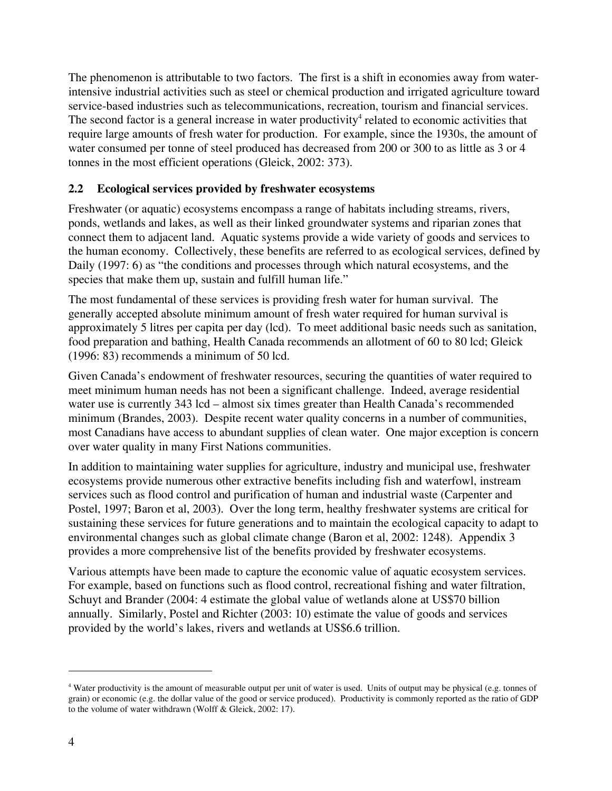The phenomenon is attributable to two factors. The first is a shift in economies away from waterintensive industrial activities such as steel or chemical production and irrigated agriculture toward service-based industries such as telecommunications, recreation, tourism and financial services. The second factor is a general increase in water productivity<sup>4</sup> related to economic activities that require large amounts of fresh water for production. For example, since the 1930s, the amount of water consumed per tonne of steel produced has decreased from 200 or 300 to as little as 3 or 4 tonnes in the most efficient operations (Gleick, 2002: 373).

## **2.2 Ecological services provided by freshwater ecosystems**

Freshwater (or aquatic) ecosystems encompass a range of habitats including streams, rivers, ponds, wetlands and lakes, as well as their linked groundwater systems and riparian zones that connect them to adjacent land. Aquatic systems provide a wide variety of goods and services to the human economy. Collectively, these benefits are referred to as ecological services, defined by Daily (1997: 6) as "the conditions and processes through which natural ecosystems, and the species that make them up, sustain and fulfill human life."

The most fundamental of these services is providing fresh water for human survival. The generally accepted absolute minimum amount of fresh water required for human survival is approximately 5 litres per capita per day (lcd). To meet additional basic needs such as sanitation, food preparation and bathing, Health Canada recommends an allotment of 60 to 80 lcd; Gleick (1996: 83) recommends a minimum of 50 lcd.

Given Canada's endowment of freshwater resources, securing the quantities of water required to meet minimum human needs has not been a significant challenge. Indeed, average residential water use is currently 343 lcd – almost six times greater than Health Canada's recommended minimum (Brandes, 2003). Despite recent water quality concerns in a number of communities, most Canadians have access to abundant supplies of clean water. One major exception is concern over water quality in many First Nations communities.

In addition to maintaining water supplies for agriculture, industry and municipal use, freshwater ecosystems provide numerous other extractive benefits including fish and waterfowl, instream services such as flood control and purification of human and industrial waste (Carpenter and Postel, 1997; Baron et al, 2003). Over the long term, healthy freshwater systems are critical for sustaining these services for future generations and to maintain the ecological capacity to adapt to environmental changes such as global climate change (Baron et al, 2002: 1248). Appendix 3 provides a more comprehensive list of the benefits provided by freshwater ecosystems.

Various attempts have been made to capture the economic value of aquatic ecosystem services. For example, based on functions such as flood control, recreational fishing and water filtration, Schuyt and Brander (2004: 4 estimate the global value of wetlands alone at US\$70 billion annually. Similarly, Postel and Richter (2003: 10) estimate the value of goods and services provided by the world's lakes, rivers and wetlands at US\$6.6 trillion.

<sup>4</sup> Water productivity is the amount of measurable output per unit of water is used. Units of output may be physical (e.g. tonnes of grain) or economic (e.g. the dollar value of the good or service produced). Productivity is commonly reported as the ratio of GDP to the volume of water withdrawn (Wolff & Gleick, 2002: 17).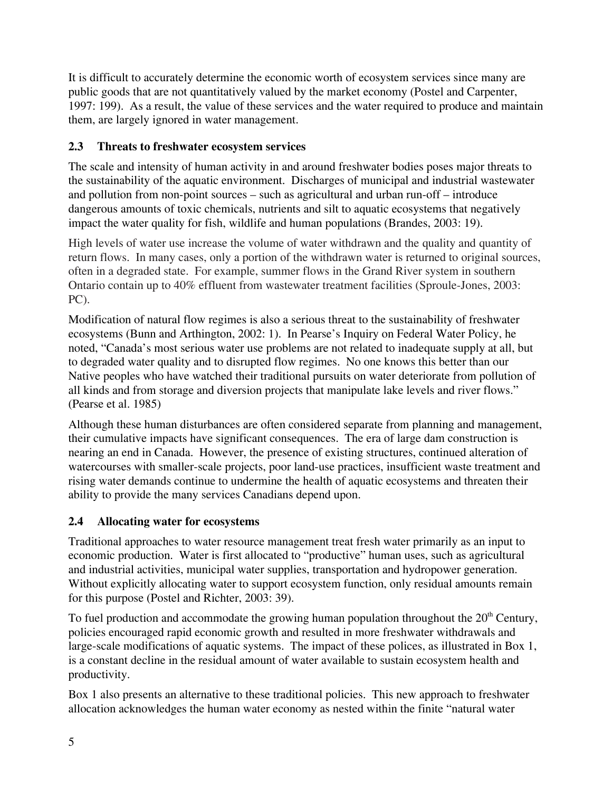It is difficult to accurately determine the economic worth of ecosystem services since many are public goods that are not quantitatively valued by the market economy (Postel and Carpenter, 1997: 199). As a result, the value of these services and the water required to produce and maintain them, are largely ignored in water management.

## **2.3 Threats to freshwater ecosystem services**

The scale and intensity of human activity in and around freshwater bodies poses major threats to the sustainability of the aquatic environment. Discharges of municipal and industrial wastewater and pollution from non-point sources – such as agricultural and urban run-off – introduce dangerous amounts of toxic chemicals, nutrients and silt to aquatic ecosystems that negatively impact the water quality for fish, wildlife and human populations (Brandes, 2003: 19).

High levels of water use increase the volume of water withdrawn and the quality and quantity of return flows. In many cases, only a portion of the withdrawn water is returned to original sources, often in a degraded state. For example, summer flows in the Grand River system in southern Ontario contain up to 40% effluent from wastewater treatment facilities (Sproule-Jones, 2003: PC).

Modification of natural flow regimes is also a serious threat to the sustainability of freshwater ecosystems (Bunn and Arthington, 2002: 1). In Pearse's Inquiry on Federal Water Policy, he noted, "Canada's most serious water use problems are not related to inadequate supply at all, but to degraded water quality and to disrupted flow regimes. No one knows this better than our Native peoples who have watched their traditional pursuits on water deteriorate from pollution of all kinds and from storage and diversion projects that manipulate lake levels and river flows." (Pearse et al. 1985)

Although these human disturbances are often considered separate from planning and management, their cumulative impacts have significant consequences. The era of large dam construction is nearing an end in Canada. However, the presence of existing structures, continued alteration of watercourses with smaller-scale projects, poor land-use practices, insufficient waste treatment and rising water demands continue to undermine the health of aquatic ecosystems and threaten their ability to provide the many services Canadians depend upon.

## **2.4 Allocating water for ecosystems**

Traditional approaches to water resource management treat fresh water primarily as an input to economic production. Water is first allocated to "productive" human uses, such as agricultural and industrial activities, municipal water supplies, transportation and hydropower generation. Without explicitly allocating water to support ecosystem function, only residual amounts remain for this purpose (Postel and Richter, 2003: 39).

To fuel production and accommodate the growing human population throughout the  $20<sup>th</sup>$  Century, policies encouraged rapid economic growth and resulted in more freshwater withdrawals and large-scale modifications of aquatic systems. The impact of these polices, as illustrated in Box 1, is a constant decline in the residual amount of water available to sustain ecosystem health and productivity.

Box 1 also presents an alternative to these traditional policies. This new approach to freshwater allocation acknowledges the human water economy as nested within the finite "natural water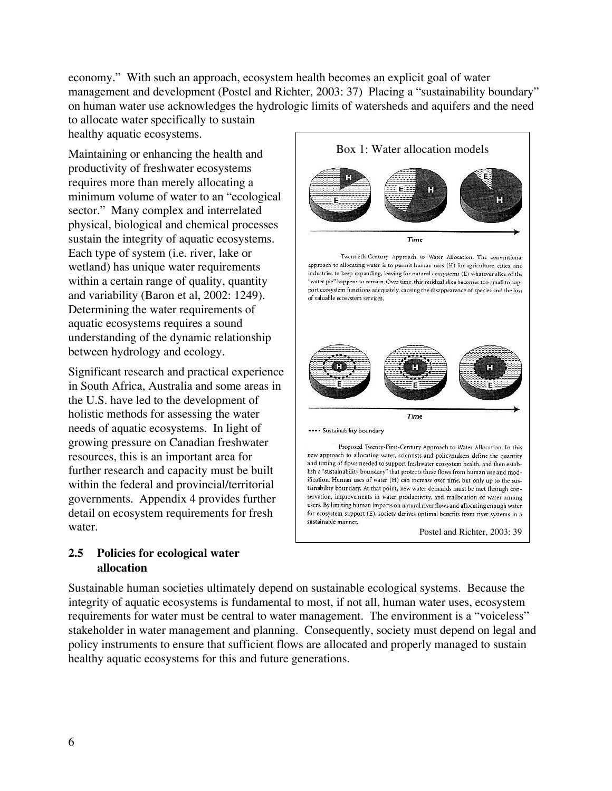economy." With such an approach, ecosystem health becomes an explicit goal of water management and development (Postel and Richter, 2003: 37) Placing a "sustainability boundary" on human water use acknowledges the hydrologic limits of watersheds and aquifers and the need to allocate water specifically to sustain

healthy aquatic ecosystems.

Maintaining or enhancing the health and productivity of freshwater ecosystems requires more than merely allocating a minimum volume of water to an "ecological sector." Many complex and interrelated physical, biological and chemical processes sustain the integrity of aquatic ecosystems. Each type of system (i.e. river, lake or wetland) has unique water requirements within a certain range of quality, quantity and variability (Baron et al, 2002: 1249). Determining the water requirements of aquatic ecosystems requires a sound understanding of the dynamic relationship between hydrology and ecology.

Significant research and practical experience in South Africa, Australia and some areas in the U.S. have led to the development of holistic methods for assessing the water needs of aquatic ecosystems. In light of growing pressure on Canadian freshwater resources, this is an important area for further research and capacity must be built within the federal and provincial/territorial governments. Appendix 4 provides further detail on ecosystem requirements for fresh water.

### **2.5 Policies for ecological water allocation**



Postel and Richter, 2003: 39

Sustainable human societies ultimately depend on sustainable ecological systems. Because the integrity of aquatic ecosystems is fundamental to most, if not all, human water uses, ecosystem requirements for water must be central to water management. The environment is a "voiceless" stakeholder in water management and planning. Consequently, society must depend on legal and policy instruments to ensure that sufficient flows are allocated and properly managed to sustain healthy aquatic ecosystems for this and future generations.

sustainable manner.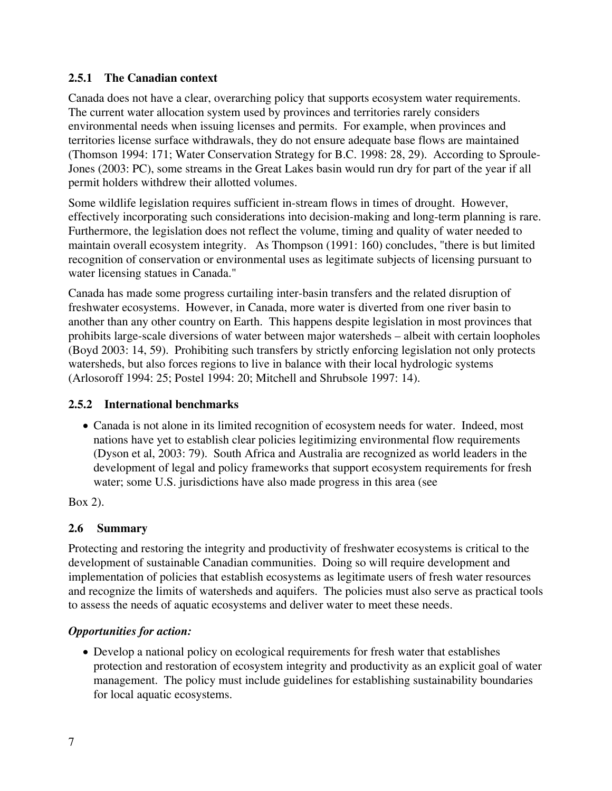## **2.5.1 The Canadian context**

Canada does not have a clear, overarching policy that supports ecosystem water requirements. The current water allocation system used by provinces and territories rarely considers environmental needs when issuing licenses and permits. For example, when provinces and territories license surface withdrawals, they do not ensure adequate base flows are maintained (Thomson 1994: 171; Water Conservation Strategy for B.C. 1998: 28, 29). According to Sproule-Jones (2003: PC), some streams in the Great Lakes basin would run dry for part of the year if all permit holders withdrew their allotted volumes.

Some wildlife legislation requires sufficient in-stream flows in times of drought. However, effectively incorporating such considerations into decision-making and long-term planning is rare. Furthermore, the legislation does not reflect the volume, timing and quality of water needed to maintain overall ecosystem integrity. As Thompson (1991: 160) concludes, "there is but limited recognition of conservation or environmental uses as legitimate subjects of licensing pursuant to water licensing statues in Canada."

Canada has made some progress curtailing inter-basin transfers and the related disruption of freshwater ecosystems. However, in Canada, more water is diverted from one river basin to another than any other country on Earth. This happens despite legislation in most provinces that prohibits large-scale diversions of water between major watersheds – albeit with certain loopholes (Boyd 2003: 14, 59). Prohibiting such transfers by strictly enforcing legislation not only protects watersheds, but also forces regions to live in balance with their local hydrologic systems (Arlosoroff 1994: 25; Postel 1994: 20; Mitchell and Shrubsole 1997: 14).

## **2.5.2 International benchmarks**

• Canada is not alone in its limited recognition of ecosystem needs for water. Indeed, most nations have yet to establish clear policies legitimizing environmental flow requirements (Dyson et al, 2003: 79). South Africa and Australia are recognized as world leaders in the development of legal and policy frameworks that support ecosystem requirements for fresh water; some U.S. jurisdictions have also made progress in this area (see

Box 2).

## **2.6 Summary**

Protecting and restoring the integrity and productivity of freshwater ecosystems is critical to the development of sustainable Canadian communities. Doing so will require development and implementation of policies that establish ecosystems as legitimate users of fresh water resources and recognize the limits of watersheds and aquifers. The policies must also serve as practical tools to assess the needs of aquatic ecosystems and deliver water to meet these needs.

## *Opportunities for action:*

• Develop a national policy on ecological requirements for fresh water that establishes protection and restoration of ecosystem integrity and productivity as an explicit goal of water management. The policy must include guidelines for establishing sustainability boundaries for local aquatic ecosystems.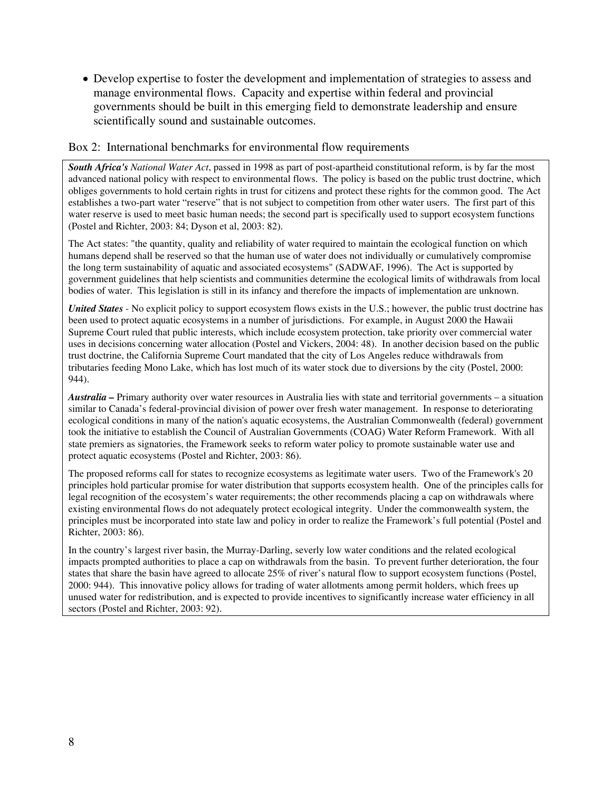• Develop expertise to foster the development and implementation of strategies to assess and manage environmental flows. Capacity and expertise within federal and provincial governments should be built in this emerging field to demonstrate leadership and ensure scientifically sound and sustainable outcomes.

### Box 2: International benchmarks for environmental flow requirements

*South Africa's National Water Act*, passed in 1998 as part of post-apartheid constitutional reform, is by far the most advanced national policy with respect to environmental flows. The policy is based on the public trust doctrine, which obliges governments to hold certain rights in trust for citizens and protect these rights for the common good. The Act establishes a two-part water "reserve" that is not subject to competition from other water users. The first part of this water reserve is used to meet basic human needs; the second part is specifically used to support ecosystem functions (Postel and Richter, 2003: 84; Dyson et al, 2003: 82).

The Act states: "the quantity, quality and reliability of water required to maintain the ecological function on which humans depend shall be reserved so that the human use of water does not individually or cumulatively compromise the long term sustainability of aquatic and associated ecosystems" (SADWAF, 1996). The Act is supported by government guidelines that help scientists and communities determine the ecological limits of withdrawals from local bodies of water. This legislation is still in its infancy and therefore the impacts of implementation are unknown.

*United States* - No explicit policy to support ecosystem flows exists in the U.S.; however, the public trust doctrine has been used to protect aquatic ecosystems in a number of jurisdictions. For example, in August 2000 the Hawaii Supreme Court ruled that public interests, which include ecosystem protection, take priority over commercial water uses in decisions concerning water allocation (Postel and Vickers, 2004: 48). In another decision based on the public trust doctrine, the California Supreme Court mandated that the city of Los Angeles reduce withdrawals from tributaries feeding Mono Lake, which has lost much of its water stock due to diversions by the city (Postel, 2000: 944).

*Australia –* Primary authority over water resources in Australia lies with state and territorial governments – a situation similar to Canada's federal-provincial division of power over fresh water management. In response to deteriorating ecological conditions in many of the nation's aquatic ecosystems, the Australian Commonwealth (federal) government took the initiative to establish the Council of Australian Governments (COAG) Water Reform Framework. With all state premiers as signatories, the Framework seeks to reform water policy to promote sustainable water use and protect aquatic ecosystems (Postel and Richter, 2003: 86).

The proposed reforms call for states to recognize ecosystems as legitimate water users. Two of the Framework's 20 principles hold particular promise for water distribution that supports ecosystem health. One of the principles calls for legal recognition of the ecosystem's water requirements; the other recommends placing a cap on withdrawals where existing environmental flows do not adequately protect ecological integrity. Under the commonwealth system, the principles must be incorporated into state law and policy in order to realize the Framework's full potential (Postel and Richter, 2003: 86).

In the country's largest river basin, the Murray-Darling, severly low water conditions and the related ecological impacts prompted authorities to place a cap on withdrawals from the basin. To prevent further deterioration, the four states that share the basin have agreed to allocate 25% of river's natural flow to support ecosystem functions (Postel, 2000: 944). This innovative policy allows for trading of water allotments among permit holders, which frees up unused water for redistribution, and is expected to provide incentives to significantly increase water efficiency in all sectors (Postel and Richter, 2003: 92).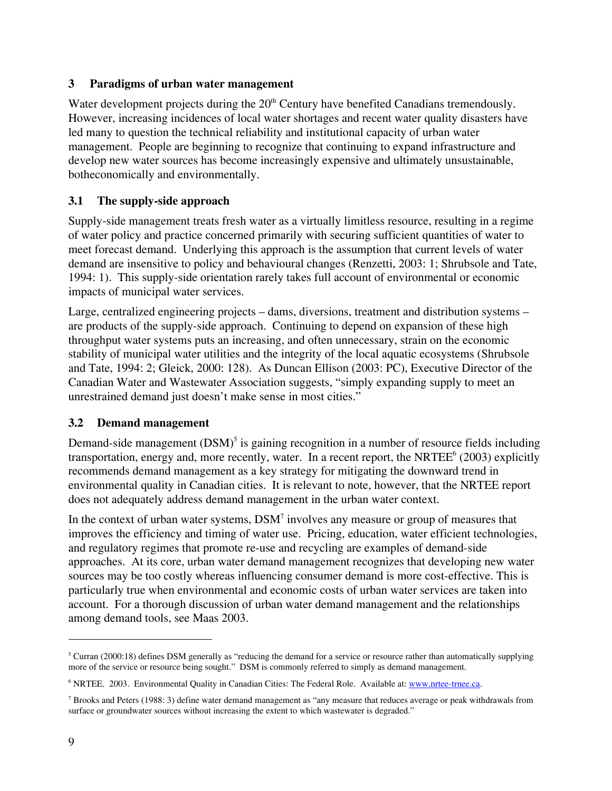### **3 Paradigms of urban water management**

Water development projects during the 20<sup>th</sup> Century have benefited Canadians tremendously. However, increasing incidences of local water shortages and recent water quality disasters have led many to question the technical reliability and institutional capacity of urban water management. People are beginning to recognize that continuing to expand infrastructure and develop new water sources has become increasingly expensive and ultimately unsustainable, botheconomically and environmentally.

## **3.1 The supply-side approach**

Supply-side management treats fresh water as a virtually limitless resource, resulting in a regime of water policy and practice concerned primarily with securing sufficient quantities of water to meet forecast demand. Underlying this approach is the assumption that current levels of water demand are insensitive to policy and behavioural changes (Renzetti, 2003: 1; Shrubsole and Tate, 1994: 1). This supply-side orientation rarely takes full account of environmental or economic impacts of municipal water services.

Large, centralized engineering projects – dams, diversions, treatment and distribution systems – are products of the supply-side approach. Continuing to depend on expansion of these high throughput water systems puts an increasing, and often unnecessary, strain on the economic stability of municipal water utilities and the integrity of the local aquatic ecosystems (Shrubsole and Tate, 1994: 2; Gleick, 2000: 128). As Duncan Ellison (2003: PC), Executive Director of the Canadian Water and Wastewater Association suggests, "simply expanding supply to meet an unrestrained demand just doesn't make sense in most cities."

## **3.2 Demand management**

Demand-side management  $(DSM)^5$  is gaining recognition in a number of resource fields including transportation, energy and, more recently, water. In a recent report, the NRTEE<sup>6</sup> (2003) explicitly recommends demand management as a key strategy for mitigating the downward trend in environmental quality in Canadian cities. It is relevant to note, however, that the NRTEE report does not adequately address demand management in the urban water context.

In the context of urban water systems,  $DSM<sup>7</sup>$  involves any measure or group of measures that improves the efficiency and timing of water use. Pricing, education, water efficient technologies, and regulatory regimes that promote re-use and recycling are examples of demand-side approaches. At its core, urban water demand management recognizes that developing new water sources may be too costly whereas influencing consumer demand is more cost-effective. This is particularly true when environmental and economic costs of urban water services are taken into account. For a thorough discussion of urban water demand management and the relationships among demand tools, see Maas 2003.

 $5$  Curran (2000:18) defines DSM generally as "reducing the demand for a service or resource rather than automatically supplying more of the service or resource being sought." DSM is commonly referred to simply as demand management.

<sup>&</sup>lt;sup>6</sup> NRTEE. 2003. Environmental Quality in Canadian Cities: The Federal Role. Available at: www.nrtee-trnee.ca.

<sup>&</sup>lt;sup>7</sup> Brooks and Peters (1988: 3) define water demand management as "any measure that reduces average or peak withdrawals from surface or groundwater sources without increasing the extent to which wastewater is degraded."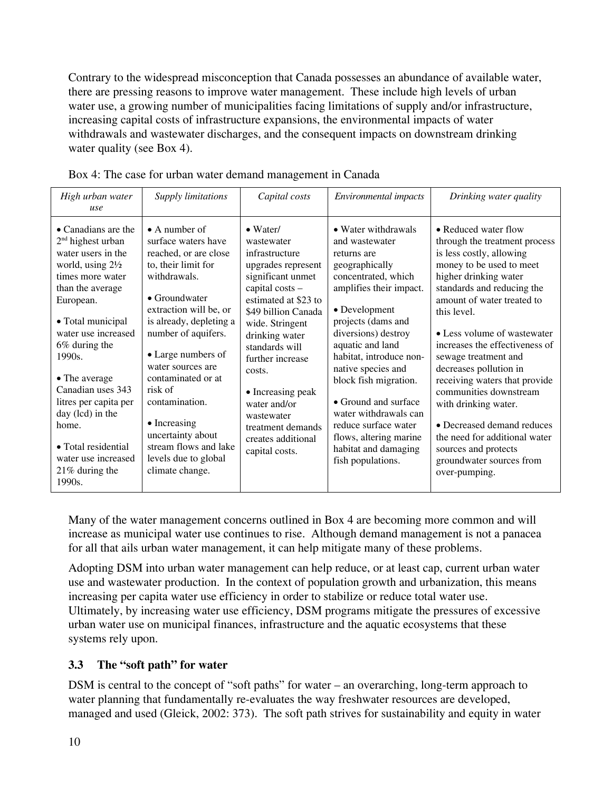Contrary to the widespread misconception that Canada possesses an abundance of available water, there are pressing reasons to improve water management. These include high levels of urban water use, a growing number of municipalities facing limitations of supply and/or infrastructure, increasing capital costs of infrastructure expansions, the environmental impacts of water withdrawals and wastewater discharges, and the consequent impacts on downstream drinking water quality (see Box 4).

| High urban water<br>use                                                                                                                                                                                                                                                                                                                                                                                   | <b>Supply limitations</b>                                                                                                                                                                                                                                                                                                                                                                                                | Capital costs                                                                                                                                                                                                                                                                                                                                                        | <i>Environmental impacts</i>                                                                                                                                                                                                                                                                                                                                                                                                         | Drinking water quality                                                                                                                                                                                                                                                                                                                                                                                                                                                                                                                                      |
|-----------------------------------------------------------------------------------------------------------------------------------------------------------------------------------------------------------------------------------------------------------------------------------------------------------------------------------------------------------------------------------------------------------|--------------------------------------------------------------------------------------------------------------------------------------------------------------------------------------------------------------------------------------------------------------------------------------------------------------------------------------------------------------------------------------------------------------------------|----------------------------------------------------------------------------------------------------------------------------------------------------------------------------------------------------------------------------------------------------------------------------------------------------------------------------------------------------------------------|--------------------------------------------------------------------------------------------------------------------------------------------------------------------------------------------------------------------------------------------------------------------------------------------------------------------------------------------------------------------------------------------------------------------------------------|-------------------------------------------------------------------------------------------------------------------------------------------------------------------------------------------------------------------------------------------------------------------------------------------------------------------------------------------------------------------------------------------------------------------------------------------------------------------------------------------------------------------------------------------------------------|
| $\bullet$ Canadians are the<br>$2nd$ highest urban<br>water users in the<br>world, using $2\frac{1}{2}$<br>times more water<br>than the average<br>European.<br>• Total municipal<br>water use increased<br>6% during the<br>1990s.<br>• The average<br>Canadian uses 343<br>litres per capita per<br>day (lcd) in the<br>home.<br>• Total residential<br>water use increased<br>21% during the<br>1990s. | $\bullet$ A number of<br>surface waters have<br>reached, or are close<br>to, their limit for<br>withdrawals.<br>$\bullet$ Groundwater<br>extraction will be, or<br>is already, depleting a<br>number of aquifers.<br>• Large numbers of<br>water sources are<br>contaminated or at<br>risk of<br>contamination.<br>• Increasing<br>uncertainty about<br>stream flows and lake<br>levels due to global<br>climate change. | $\bullet$ Water/<br>wastewater<br>infrastructure<br>upgrades represent<br>significant unmet<br>capital $costs -$<br>estimated at \$23 to<br>\$49 billion Canada<br>wide. Stringent<br>drinking water<br>standards will<br>further increase<br>costs.<br>• Increasing peak<br>water and/or<br>wastewater<br>treatment demands<br>creates additional<br>capital costs. | • Water withdrawals<br>and wastewater<br>returns are<br>geographically<br>concentrated, which<br>amplifies their impact.<br>• Development<br>projects (dams and<br>diversions) destroy<br>aquatic and land<br>habitat, introduce non-<br>native species and<br>block fish migration.<br>• Ground and surface<br>water withdrawals can<br>reduce surface water<br>flows, altering marine<br>habitat and damaging<br>fish populations. | • Reduced water flow<br>through the treatment process<br>is less costly, allowing<br>money to be used to meet<br>higher drinking water<br>standards and reducing the<br>amount of water treated to<br>this level.<br>• Less volume of wastewater<br>increases the effectiveness of<br>sewage treatment and<br>decreases pollution in<br>receiving waters that provide<br>communities downstream<br>with drinking water.<br>• Decreased demand reduces<br>the need for additional water<br>sources and protects<br>groundwater sources from<br>over-pumping. |

Box 4: The case for urban water demand management in Canada

Many of the water management concerns outlined in Box 4 are becoming more common and will increase as municipal water use continues to rise. Although demand management is not a panacea for all that ails urban water management, it can help mitigate many of these problems.

Adopting DSM into urban water management can help reduce, or at least cap, current urban water use and wastewater production. In the context of population growth and urbanization, this means increasing per capita water use efficiency in order to stabilize or reduce total water use. Ultimately, by increasing water use efficiency, DSM programs mitigate the pressures of excessive urban water use on municipal finances, infrastructure and the aquatic ecosystems that these systems rely upon.

## **3.3 The "soft path" for water**

DSM is central to the concept of "soft paths" for water – an overarching, long-term approach to water planning that fundamentally re-evaluates the way freshwater resources are developed, managed and used (Gleick, 2002: 373). The soft path strives for sustainability and equity in water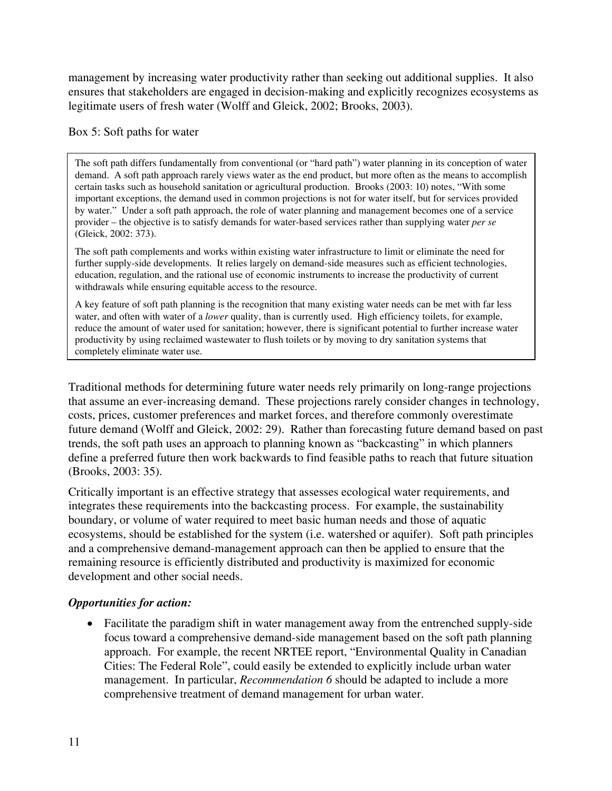management by increasing water productivity rather than seeking out additional supplies. It also ensures that stakeholders are engaged in decision-making and explicitly recognizes ecosystems as legitimate users of fresh water (Wolff and Gleick, 2002; Brooks, 2003).

### Box 5: Soft paths for water

The soft path differs fundamentally from conventional (or "hard path") water planning in its conception of water demand. A soft path approach rarely views water as the end product, but more often as the means to accomplish certain tasks such as household sanitation or agricultural production. Brooks (2003: 10) notes, "With some important exceptions, the demand used in common projections is not for water itself, but for services provided by water." Under a soft path approach, the role of water planning and management becomes one of a service provider – the objective is to satisfy demands for water-based services rather than supplying water *per se* (Gleick, 2002: 373).

The soft path complements and works within existing water infrastructure to limit or eliminate the need for further supply-side developments. It relies largely on demand-side measures such as efficient technologies, education, regulation, and the rational use of economic instruments to increase the productivity of current withdrawals while ensuring equitable access to the resource.

A key feature of soft path planning is the recognition that many existing water needs can be met with far less water, and often with water of a *lower* quality, than is currently used. High efficiency toilets, for example, reduce the amount of water used for sanitation; however, there is significant potential to further increase water productivity by using reclaimed wastewater to flush toilets or by moving to dry sanitation systems that completely eliminate water use.

Traditional methods for determining future water needs rely primarily on long-range projections that assume an ever-increasing demand. These projections rarely consider changes in technology, costs, prices, customer preferences and market forces, and therefore commonly overestimate future demand (Wolff and Gleick, 2002: 29). Rather than forecasting future demand based on past trends, the soft path uses an approach to planning known as "backcasting" in which planners define a preferred future then work backwards to find feasible paths to reach that future situation (Brooks, 2003: 35).

Critically important is an effective strategy that assesses ecological water requirements, and integrates these requirements into the backcasting process. For example, the sustainability boundary, or volume of water required to meet basic human needs and those of aquatic ecosystems, should be established for the system (i.e. watershed or aquifer). Soft path principles and a comprehensive demand-management approach can then be applied to ensure that the remaining resource is efficiently distributed and productivity is maximized for economic development and other social needs.

### *Opportunities for action:*

• Facilitate the paradigm shift in water management away from the entrenched supply-side focus toward a comprehensive demand-side management based on the soft path planning approach. For example, the recent NRTEE report, "Environmental Quality in Canadian Cities: The Federal Role", could easily be extended to explicitly include urban water management. In particular, *Recommendation 6* should be adapted to include a more comprehensive treatment of demand management for urban water.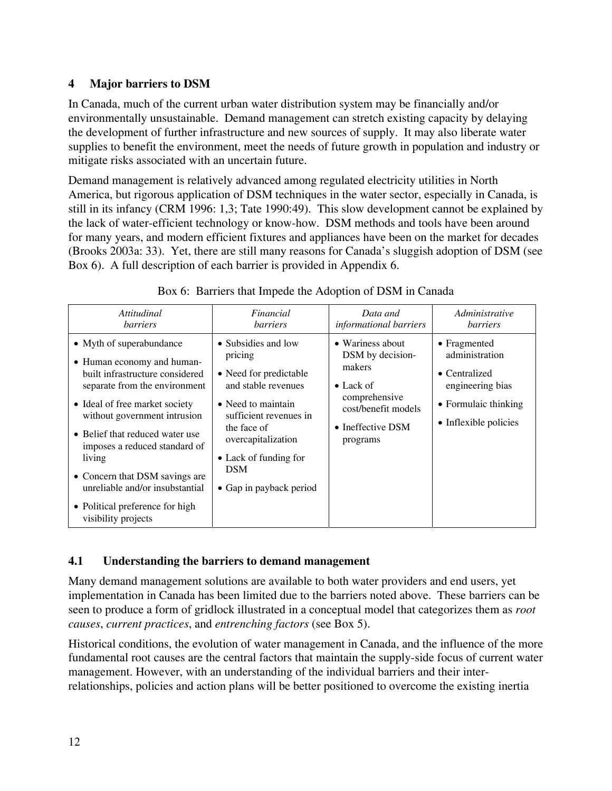## **4 Major barriers to DSM**

In Canada, much of the current urban water distribution system may be financially and/or environmentally unsustainable. Demand management can stretch existing capacity by delaying the development of further infrastructure and new sources of supply. It may also liberate water supplies to benefit the environment, meet the needs of future growth in population and industry or mitigate risks associated with an uncertain future.

Demand management is relatively advanced among regulated electricity utilities in North America, but rigorous application of DSM techniques in the water sector, especially in Canada, is still in its infancy (CRM 1996: 1,3; Tate 1990:49). This slow development cannot be explained by the lack of water-efficient technology or know-how. DSM methods and tools have been around for many years, and modern efficient fixtures and appliances have been on the market for decades (Brooks 2003a: 33). Yet, there are still many reasons for Canada's sluggish adoption of DSM (see Box 6). A full description of each barrier is provided in Appendix 6.

| Attitudinal                                                                                                                                                                                                                                                                                                                                                                                               | Financial                                                                                                                                                                                                                              | Data and                                                                                                                                       | Administrative                                                                                                               |
|-----------------------------------------------------------------------------------------------------------------------------------------------------------------------------------------------------------------------------------------------------------------------------------------------------------------------------------------------------------------------------------------------------------|----------------------------------------------------------------------------------------------------------------------------------------------------------------------------------------------------------------------------------------|------------------------------------------------------------------------------------------------------------------------------------------------|------------------------------------------------------------------------------------------------------------------------------|
| <i>barriers</i>                                                                                                                                                                                                                                                                                                                                                                                           | <i>barriers</i>                                                                                                                                                                                                                        | informational barriers                                                                                                                         | <i>barriers</i>                                                                                                              |
| • Myth of superabundance<br>• Human economy and human-<br>built infrastructure considered<br>separate from the environment<br>• Ideal of free market society<br>without government intrusion<br>• Belief that reduced water use<br>imposes a reduced standard of<br>living<br>• Concern that DSM savings are<br>unreliable and/or insubstantial<br>• Political preference for high<br>visibility projects | • Subsidies and low<br>pricing<br>• Need for predictable<br>and stable revenues<br>• Need to maintain<br>sufficient revenues in<br>the face of<br>overcapitalization<br>• Lack of funding for<br><b>DSM</b><br>• Gap in payback period | • Wariness about<br>DSM by decision-<br>makers<br>$\bullet$ Lack of<br>comprehensive<br>cost/benefit models<br>• Ineffective $DSM$<br>programs | $\bullet$ Fragmented<br>administration<br>• Centralized<br>engineering bias<br>• Formulaic thinking<br>• Inflexible policies |

### Box 6: Barriers that Impede the Adoption of DSM in Canada

## **4.1 Understanding the barriers to demand management**

Many demand management solutions are available to both water providers and end users, yet implementation in Canada has been limited due to the barriers noted above. These barriers can be seen to produce a form of gridlock illustrated in a conceptual model that categorizes them as *root causes*, *current practices*, and *entrenching factors* (see Box 5).

Historical conditions, the evolution of water management in Canada, and the influence of the more fundamental root causes are the central factors that maintain the supply-side focus of current water management. However, with an understanding of the individual barriers and their interrelationships, policies and action plans will be better positioned to overcome the existing inertia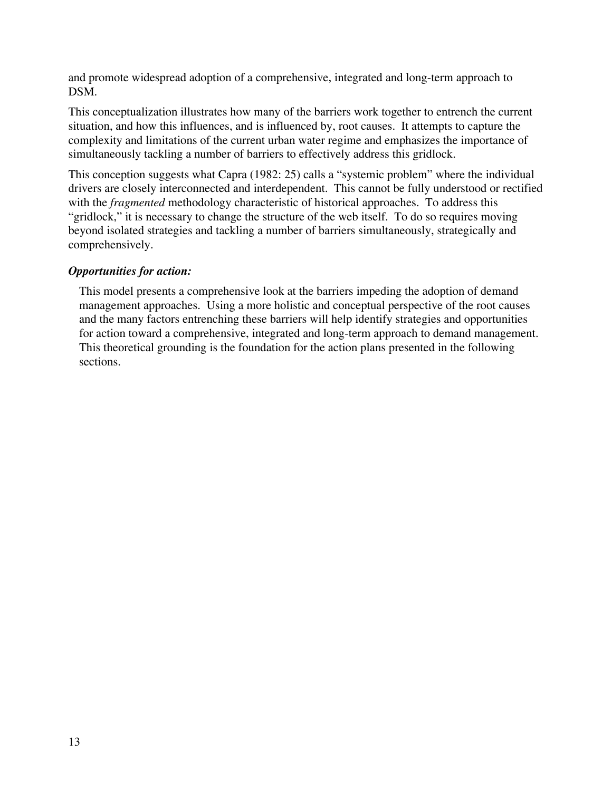and promote widespread adoption of a comprehensive, integrated and long-term approach to DSM.

This conceptualization illustrates how many of the barriers work together to entrench the current situation, and how this influences, and is influenced by, root causes. It attempts to capture the complexity and limitations of the current urban water regime and emphasizes the importance of simultaneously tackling a number of barriers to effectively address this gridlock.

This conception suggests what Capra (1982: 25) calls a "systemic problem" where the individual drivers are closely interconnected and interdependent. This cannot be fully understood or rectified with the *fragmented* methodology characteristic of historical approaches. To address this "gridlock," it is necessary to change the structure of the web itself. To do so requires moving beyond isolated strategies and tackling a number of barriers simultaneously, strategically and comprehensively.

## *Opportunities for action:*

This model presents a comprehensive look at the barriers impeding the adoption of demand management approaches. Using a more holistic and conceptual perspective of the root causes and the many factors entrenching these barriers will help identify strategies and opportunities for action toward a comprehensive, integrated and long-term approach to demand management. This theoretical grounding is the foundation for the action plans presented in the following sections.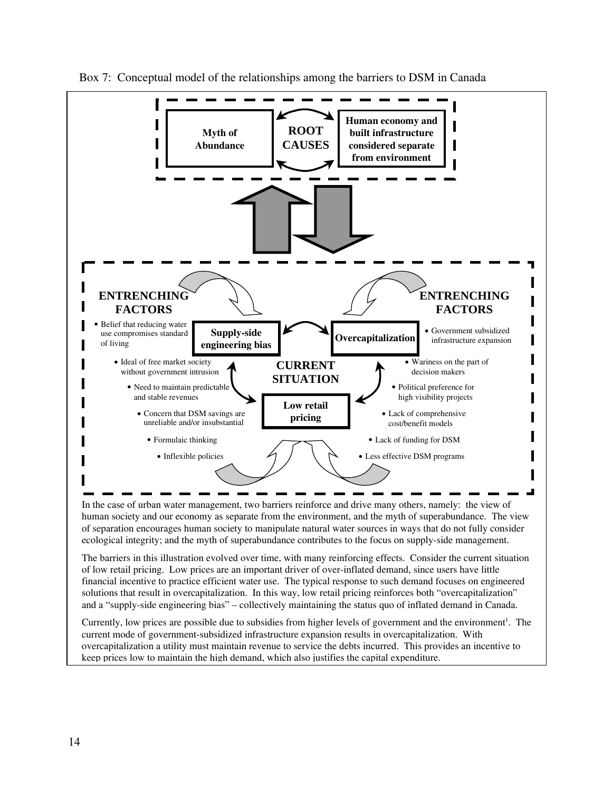

Box 7: Conceptual model of the relationships among the barriers to DSM in Canada

The barriers in this illustration evolved over time, with many reinforcing effects. Consider the current situation of low retail pricing. Low prices are an important driver of over-inflated demand, since users have little financial incentive to practice efficient water use. The typical response to such demand focuses on engineered solutions that result in overcapitalization. In this way, low retail pricing reinforces both "overcapitalization" and a "supply-side engineering bias" – collectively maintaining the status quo of inflated demand in Canada.

Currently, low prices are possible due to subsidies from higher levels of government and the environment<sup>1</sup>. The current mode of government-subsidized infrastructure expansion results in overcapitalization. With overcapitalization a utility must maintain revenue to service the debts incurred. This provides an incentive to keep prices low to maintain the high demand, which also justifies the capital expenditure.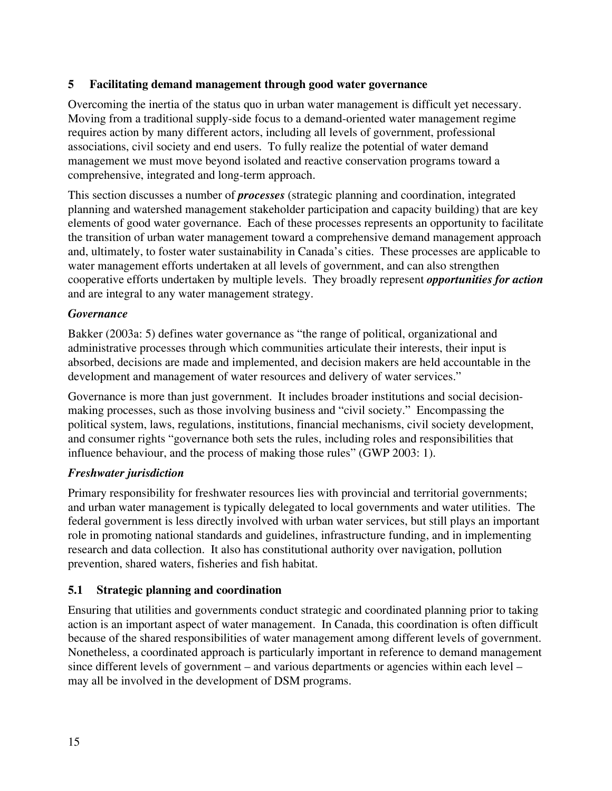## **5 Facilitating demand management through good water governance**

Overcoming the inertia of the status quo in urban water management is difficult yet necessary. Moving from a traditional supply-side focus to a demand-oriented water management regime requires action by many different actors, including all levels of government, professional associations, civil society and end users. To fully realize the potential of water demand management we must move beyond isolated and reactive conservation programs toward a comprehensive, integrated and long-term approach.

This section discusses a number of *processes* (strategic planning and coordination, integrated planning and watershed management stakeholder participation and capacity building) that are key elements of good water governance. Each of these processes represents an opportunity to facilitate the transition of urban water management toward a comprehensive demand management approach and, ultimately, to foster water sustainability in Canada's cities. These processes are applicable to water management efforts undertaken at all levels of government, and can also strengthen cooperative efforts undertaken by multiple levels. They broadly represent *opportunities for action* and are integral to any water management strategy.

### *Governance*

Bakker (2003a: 5) defines water governance as "the range of political, organizational and administrative processes through which communities articulate their interests, their input is absorbed, decisions are made and implemented, and decision makers are held accountable in the development and management of water resources and delivery of water services."

Governance is more than just government. It includes broader institutions and social decisionmaking processes, such as those involving business and "civil society." Encompassing the political system, laws, regulations, institutions, financial mechanisms, civil society development, and consumer rights "governance both sets the rules, including roles and responsibilities that influence behaviour, and the process of making those rules" (GWP 2003: 1).

## *Freshwater jurisdiction*

Primary responsibility for freshwater resources lies with provincial and territorial governments; and urban water management is typically delegated to local governments and water utilities. The federal government is less directly involved with urban water services, but still plays an important role in promoting national standards and guidelines, infrastructure funding, and in implementing research and data collection. It also has constitutional authority over navigation, pollution prevention, shared waters, fisheries and fish habitat.

## **5.1 Strategic planning and coordination**

Ensuring that utilities and governments conduct strategic and coordinated planning prior to taking action is an important aspect of water management. In Canada, this coordination is often difficult because of the shared responsibilities of water management among different levels of government. Nonetheless, a coordinated approach is particularly important in reference to demand management since different levels of government – and various departments or agencies within each level – may all be involved in the development of DSM programs.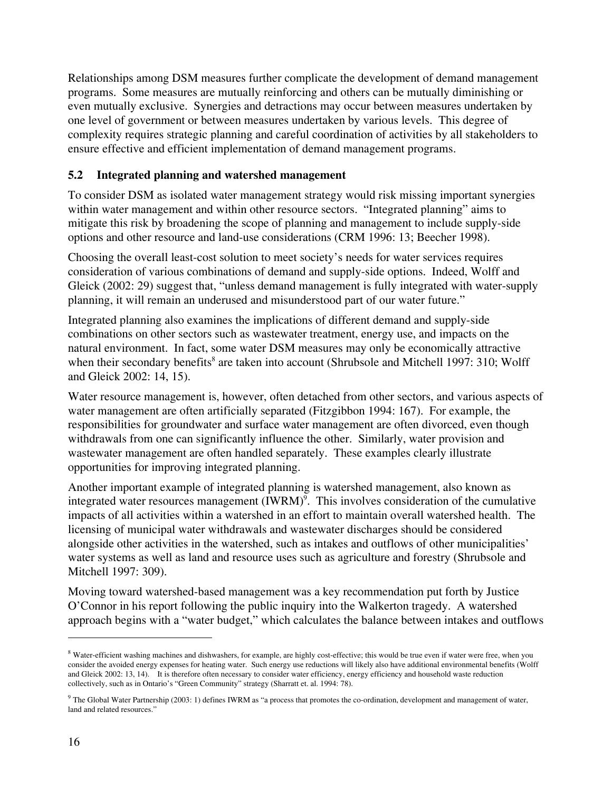Relationships among DSM measures further complicate the development of demand management programs. Some measures are mutually reinforcing and others can be mutually diminishing or even mutually exclusive. Synergies and detractions may occur between measures undertaken by one level of government or between measures undertaken by various levels. This degree of complexity requires strategic planning and careful coordination of activities by all stakeholders to ensure effective and efficient implementation of demand management programs.

## **5.2 Integrated planning and watershed management**

To consider DSM as isolated water management strategy would risk missing important synergies within water management and within other resource sectors. "Integrated planning" aims to mitigate this risk by broadening the scope of planning and management to include supply-side options and other resource and land-use considerations (CRM 1996: 13; Beecher 1998).

Choosing the overall least-cost solution to meet society's needs for water services requires consideration of various combinations of demand and supply-side options. Indeed, Wolff and Gleick (2002: 29) suggest that, "unless demand management is fully integrated with water-supply planning, it will remain an underused and misunderstood part of our water future."

Integrated planning also examines the implications of different demand and supply-side combinations on other sectors such as wastewater treatment, energy use, and impacts on the natural environment. In fact, some water DSM measures may only be economically attractive when their secondary benefits<sup>8</sup> are taken into account (Shrubsole and Mitchell 1997: 310; Wolff and Gleick 2002: 14, 15).

Water resource management is, however, often detached from other sectors, and various aspects of water management are often artificially separated (Fitzgibbon 1994: 167). For example, the responsibilities for groundwater and surface water management are often divorced, even though withdrawals from one can significantly influence the other. Similarly, water provision and wastewater management are often handled separately. These examples clearly illustrate opportunities for improving integrated planning.

Another important example of integrated planning is watershed management, also known as integrated water resources management (IWRM)<sup>9</sup>. This involves consideration of the cumulative impacts of all activities within a watershed in an effort to maintain overall watershed health. The licensing of municipal water withdrawals and wastewater discharges should be considered alongside other activities in the watershed, such as intakes and outflows of other municipalities' water systems as well as land and resource uses such as agriculture and forestry (Shrubsole and Mitchell 1997: 309).

Moving toward watershed-based management was a key recommendation put forth by Justice O'Connor in his report following the public inquiry into the Walkerton tragedy. A watershed approach begins with a "water budget," which calculates the balance between intakes and outflows

<sup>&</sup>lt;sup>8</sup> Water-efficient washing machines and dishwashers, for example, are highly cost-effective; this would be true even if water were free, when you consider the avoided energy expenses for heating water. Such energy use reductions will likely also have additional environmental benefits (Wolff and Gleick 2002: 13, 14). It is therefore often necessary to consider water efficiency, energy efficiency and household waste reduction collectively, such as in Ontario's "Green Community" strategy (Sharratt et. al. 1994: 78).

 $9$  The Global Water Partnership (2003: 1) defines IWRM as "a process that promotes the co-ordination, development and management of water, land and related resources."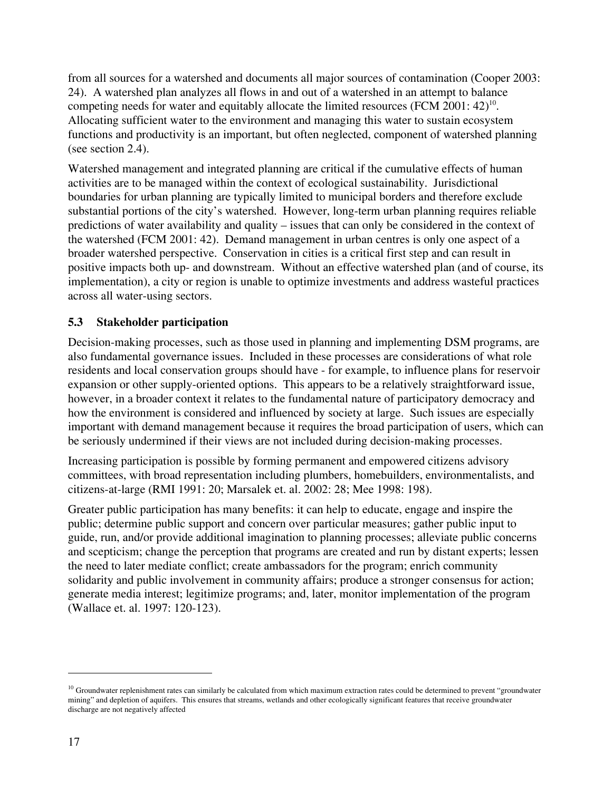from all sources for a watershed and documents all major sources of contamination (Cooper 2003: 24). A watershed plan analyzes all flows in and out of a watershed in an attempt to balance competing needs for water and equitably allocate the limited resources (FCM 2001:  $42$ )<sup>10</sup>. Allocating sufficient water to the environment and managing this water to sustain ecosystem functions and productivity is an important, but often neglected, component of watershed planning (see section 2.4).

Watershed management and integrated planning are critical if the cumulative effects of human activities are to be managed within the context of ecological sustainability. Jurisdictional boundaries for urban planning are typically limited to municipal borders and therefore exclude substantial portions of the city's watershed. However, long-term urban planning requires reliable predictions of water availability and quality – issues that can only be considered in the context of the watershed (FCM 2001: 42). Demand management in urban centres is only one aspect of a broader watershed perspective. Conservation in cities is a critical first step and can result in positive impacts both up- and downstream. Without an effective watershed plan (and of course, its implementation), a city or region is unable to optimize investments and address wasteful practices across all water-using sectors.

## **5.3 Stakeholder participation**

Decision-making processes, such as those used in planning and implementing DSM programs, are also fundamental governance issues. Included in these processes are considerations of what role residents and local conservation groups should have - for example, to influence plans for reservoir expansion or other supply-oriented options. This appears to be a relatively straightforward issue, however, in a broader context it relates to the fundamental nature of participatory democracy and how the environment is considered and influenced by society at large. Such issues are especially important with demand management because it requires the broad participation of users, which can be seriously undermined if their views are not included during decision-making processes.

Increasing participation is possible by forming permanent and empowered citizens advisory committees, with broad representation including plumbers, homebuilders, environmentalists, and citizens-at-large (RMI 1991: 20; Marsalek et. al. 2002: 28; Mee 1998: 198).

Greater public participation has many benefits: it can help to educate, engage and inspire the public; determine public support and concern over particular measures; gather public input to guide, run, and/or provide additional imagination to planning processes; alleviate public concerns and scepticism; change the perception that programs are created and run by distant experts; lessen the need to later mediate conflict; create ambassadors for the program; enrich community solidarity and public involvement in community affairs; produce a stronger consensus for action; generate media interest; legitimize programs; and, later, monitor implementation of the program (Wallace et. al. 1997: 120-123).

 $10$  Groundwater replenishment rates can similarly be calculated from which maximum extraction rates could be determined to prevent "groundwater" mining" and depletion of aquifers. This ensures that streams, wetlands and other ecologically significant features that receive groundwater discharge are not negatively affected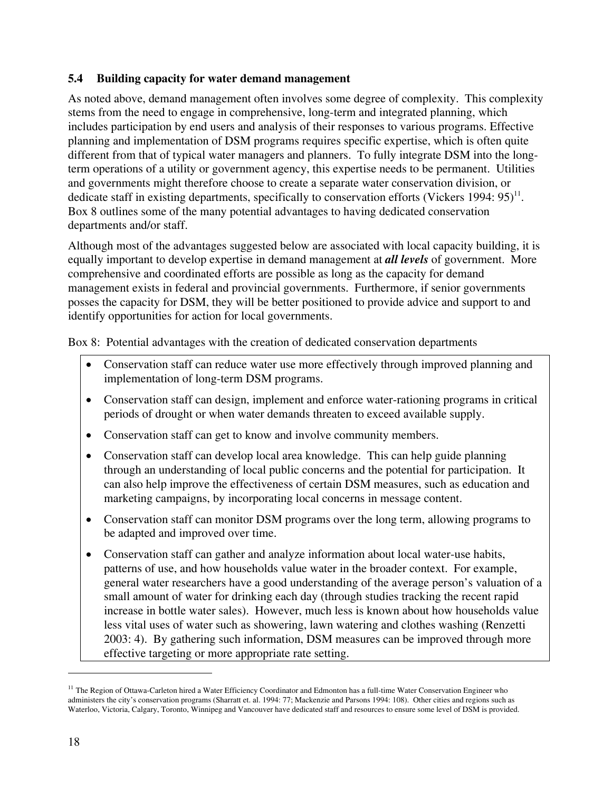### **5.4 Building capacity for water demand management**

As noted above, demand management often involves some degree of complexity. This complexity stems from the need to engage in comprehensive, long-term and integrated planning, which includes participation by end users and analysis of their responses to various programs. Effective planning and implementation of DSM programs requires specific expertise, which is often quite different from that of typical water managers and planners. To fully integrate DSM into the longterm operations of a utility or government agency, this expertise needs to be permanent. Utilities and governments might therefore choose to create a separate water conservation division, or dedicate staff in existing departments, specifically to conservation efforts (Vickers 1994:  $95)^{11}$ . Box 8 outlines some of the many potential advantages to having dedicated conservation departments and/or staff.

Although most of the advantages suggested below are associated with local capacity building, it is equally important to develop expertise in demand management at *all levels* of government. More comprehensive and coordinated efforts are possible as long as the capacity for demand management exists in federal and provincial governments. Furthermore, if senior governments posses the capacity for DSM, they will be better positioned to provide advice and support to and identify opportunities for action for local governments.

Box 8: Potential advantages with the creation of dedicated conservation departments

- Conservation staff can reduce water use more effectively through improved planning and implementation of long-term DSM programs.
- Conservation staff can design, implement and enforce water-rationing programs in critical periods of drought or when water demands threaten to exceed available supply.
- Conservation staff can get to know and involve community members.
- Conservation staff can develop local area knowledge. This can help guide planning through an understanding of local public concerns and the potential for participation. It can also help improve the effectiveness of certain DSM measures, such as education and marketing campaigns, by incorporating local concerns in message content.
- Conservation staff can monitor DSM programs over the long term, allowing programs to be adapted and improved over time.
- Conservation staff can gather and analyze information about local water-use habits, patterns of use, and how households value water in the broader context. For example, general water researchers have a good understanding of the average person's valuation of a small amount of water for drinking each day (through studies tracking the recent rapid increase in bottle water sales). However, much less is known about how households value less vital uses of water such as showering, lawn watering and clothes washing (Renzetti 2003: 4). By gathering such information, DSM measures can be improved through more effective targeting or more appropriate rate setting.

<sup>&</sup>lt;sup>11</sup> The Region of Ottawa-Carleton hired a Water Efficiency Coordinator and Edmonton has a full-time Water Conservation Engineer who administers the city's conservation programs (Sharratt et. al. 1994: 77; Mackenzie and Parsons 1994: 108). Other cities and regions such as Waterloo, Victoria, Calgary, Toronto, Winnipeg and Vancouver have dedicated staff and resources to ensure some level of DSM is provided.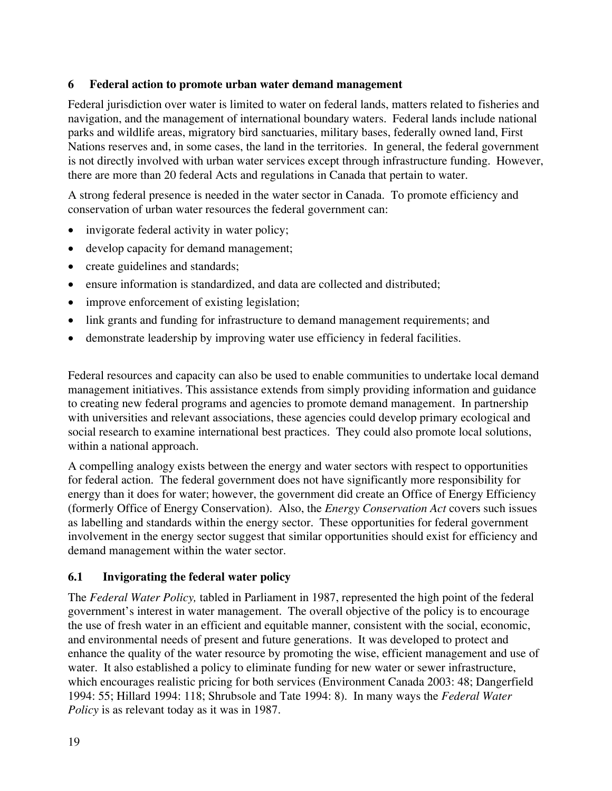### **6 Federal action to promote urban water demand management**

Federal jurisdiction over water is limited to water on federal lands, matters related to fisheries and navigation, and the management of international boundary waters. Federal lands include national parks and wildlife areas, migratory bird sanctuaries, military bases, federally owned land, First Nations reserves and, in some cases, the land in the territories. In general, the federal government is not directly involved with urban water services except through infrastructure funding. However, there are more than 20 federal Acts and regulations in Canada that pertain to water.

A strong federal presence is needed in the water sector in Canada. To promote efficiency and conservation of urban water resources the federal government can:

- invigorate federal activity in water policy;
- develop capacity for demand management;
- create guidelines and standards;
- ensure information is standardized, and data are collected and distributed;
- improve enforcement of existing legislation;
- link grants and funding for infrastructure to demand management requirements; and
- demonstrate leadership by improving water use efficiency in federal facilities.

Federal resources and capacity can also be used to enable communities to undertake local demand management initiatives. This assistance extends from simply providing information and guidance to creating new federal programs and agencies to promote demand management. In partnership with universities and relevant associations, these agencies could develop primary ecological and social research to examine international best practices. They could also promote local solutions, within a national approach.

A compelling analogy exists between the energy and water sectors with respect to opportunities for federal action. The federal government does not have significantly more responsibility for energy than it does for water; however, the government did create an Office of Energy Efficiency (formerly Office of Energy Conservation). Also, the *Energy Conservation Act* covers such issues as labelling and standards within the energy sector. These opportunities for federal government involvement in the energy sector suggest that similar opportunities should exist for efficiency and demand management within the water sector.

### **6.1 Invigorating the federal water policy**

The *Federal Water Policy,* tabled in Parliament in 1987, represented the high point of the federal government's interest in water management. The overall objective of the policy is to encourage the use of fresh water in an efficient and equitable manner, consistent with the social, economic, and environmental needs of present and future generations. It was developed to protect and enhance the quality of the water resource by promoting the wise, efficient management and use of water. It also established a policy to eliminate funding for new water or sewer infrastructure, which encourages realistic pricing for both services (Environment Canada 2003: 48; Dangerfield 1994: 55; Hillard 1994: 118; Shrubsole and Tate 1994: 8). In many ways the *Federal Water Policy* is as relevant today as it was in 1987.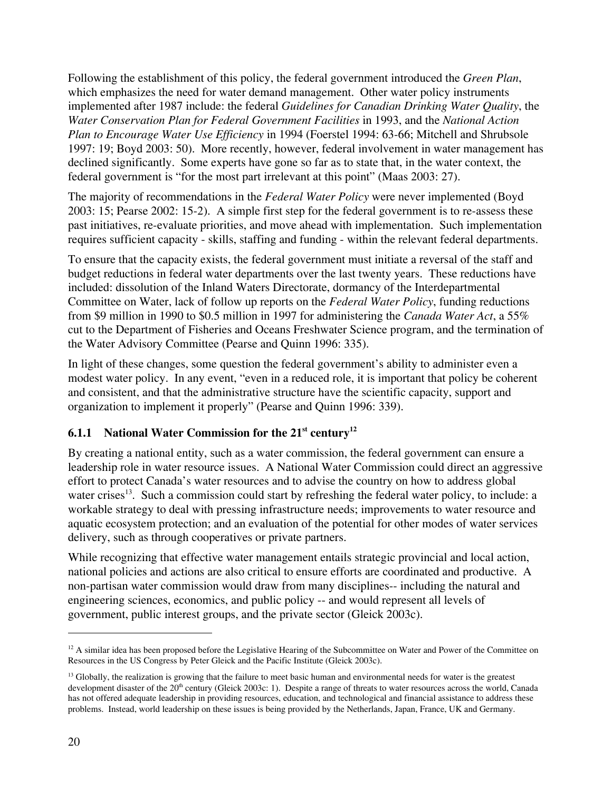Following the establishment of this policy, the federal government introduced the *Green Plan*, which emphasizes the need for water demand management. Other water policy instruments implemented after 1987 include: the federal *Guidelines for Canadian Drinking Water Quality*, the *Water Conservation Plan for Federal Government Facilities* in 1993, and the *National Action Plan to Encourage Water Use Efficiency* in 1994 (Foerstel 1994: 63-66; Mitchell and Shrubsole 1997: 19; Boyd 2003: 50). More recently, however, federal involvement in water management has declined significantly. Some experts have gone so far as to state that, in the water context, the federal government is "for the most part irrelevant at this point" (Maas 2003: 27).

The majority of recommendations in the *Federal Water Policy* were never implemented (Boyd 2003: 15; Pearse 2002: 15-2). A simple first step for the federal government is to re-assess these past initiatives, re-evaluate priorities, and move ahead with implementation. Such implementation requires sufficient capacity - skills, staffing and funding - within the relevant federal departments.

To ensure that the capacity exists, the federal government must initiate a reversal of the staff and budget reductions in federal water departments over the last twenty years. These reductions have included: dissolution of the Inland Waters Directorate, dormancy of the Interdepartmental Committee on Water, lack of follow up reports on the *Federal Water Policy*, funding reductions from \$9 million in 1990 to \$0.5 million in 1997 for administering the *Canada Water Act*, a 55% cut to the Department of Fisheries and Oceans Freshwater Science program, and the termination of the Water Advisory Committee (Pearse and Quinn 1996: 335).

In light of these changes, some question the federal government's ability to administer even a modest water policy. In any event, "even in a reduced role, it is important that policy be coherent and consistent, and that the administrative structure have the scientific capacity, support and organization to implement it properly" (Pearse and Quinn 1996: 339).

## **6.1.1 National Water Commission for the 21st century12**

By creating a national entity, such as a water commission, the federal government can ensure a leadership role in water resource issues. A National Water Commission could direct an aggressive effort to protect Canada's water resources and to advise the country on how to address global water crises<sup>13</sup>. Such a commission could start by refreshing the federal water policy, to include: a workable strategy to deal with pressing infrastructure needs; improvements to water resource and aquatic ecosystem protection; and an evaluation of the potential for other modes of water services delivery, such as through cooperatives or private partners.

While recognizing that effective water management entails strategic provincial and local action, national policies and actions are also critical to ensure efforts are coordinated and productive. A non-partisan water commission would draw from many disciplines-- including the natural and engineering sciences, economics, and public policy -- and would represent all levels of government, public interest groups, and the private sector (Gleick 2003c).

 $12$  A similar idea has been proposed before the Legislative Hearing of the Subcommittee on Water and Power of the Committee on Resources in the US Congress by Peter Gleick and the Pacific Institute (Gleick 2003c).

<sup>&</sup>lt;sup>13</sup> Globally, the realization is growing that the failure to meet basic human and environmental needs for water is the greatest development disaster of the  $20<sup>th</sup>$  century (Gleick 2003c: 1). Despite a range of threats to water resources across the world, Canada has not offered adequate leadership in providing resources, education, and technological and financial assistance to address these problems. Instead, world leadership on these issues is being provided by the Netherlands, Japan, France, UK and Germany.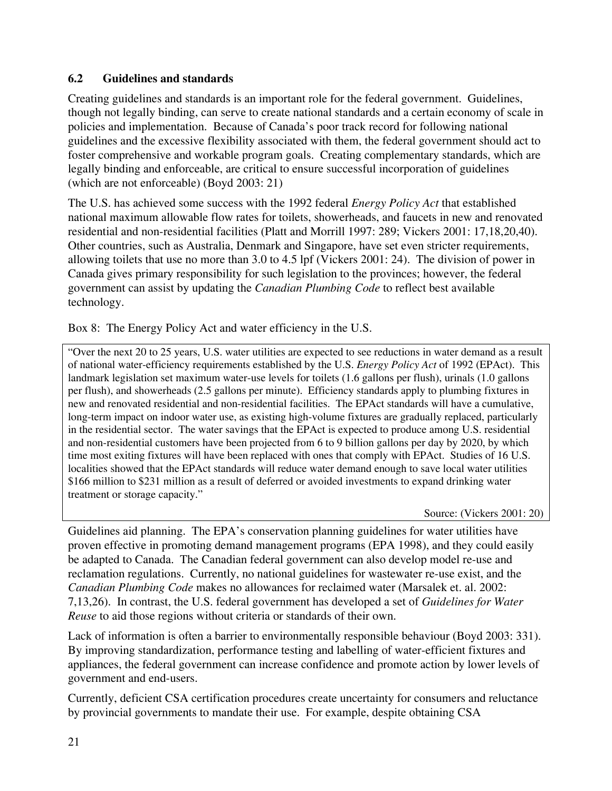## **6.2 Guidelines and standards**

Creating guidelines and standards is an important role for the federal government. Guidelines, though not legally binding, can serve to create national standards and a certain economy of scale in policies and implementation. Because of Canada's poor track record for following national guidelines and the excessive flexibility associated with them, the federal government should act to foster comprehensive and workable program goals. Creating complementary standards, which are legally binding and enforceable, are critical to ensure successful incorporation of guidelines (which are not enforceable) (Boyd 2003: 21)

The U.S. has achieved some success with the 1992 federal *Energy Policy Act* that established national maximum allowable flow rates for toilets, showerheads, and faucets in new and renovated residential and non-residential facilities (Platt and Morrill 1997: 289; Vickers 2001: 17,18,20,40). Other countries, such as Australia, Denmark and Singapore, have set even stricter requirements, allowing toilets that use no more than 3.0 to 4.5 lpf (Vickers 2001: 24). The division of power in Canada gives primary responsibility for such legislation to the provinces; however, the federal government can assist by updating the *Canadian Plumbing Code* to reflect best available technology.

Box 8: The Energy Policy Act and water efficiency in the U.S.

"Over the next 20 to 25 years, U.S. water utilities are expected to see reductions in water demand as a result of national water-efficiency requirements established by the U.S. *Energy Policy Act* of 1992 (EPAct). This landmark legislation set maximum water-use levels for toilets (1.6 gallons per flush), urinals (1.0 gallons per flush), and showerheads (2.5 gallons per minute). Efficiency standards apply to plumbing fixtures in new and renovated residential and non-residential facilities. The EPAct standards will have a cumulative, long-term impact on indoor water use, as existing high-volume fixtures are gradually replaced, particularly in the residential sector. The water savings that the EPAct is expected to produce among U.S. residential and non-residential customers have been projected from 6 to 9 billion gallons per day by 2020, by which time most exiting fixtures will have been replaced with ones that comply with EPAct. Studies of 16 U.S. localities showed that the EPAct standards will reduce water demand enough to save local water utilities \$166 million to \$231 million as a result of deferred or avoided investments to expand drinking water treatment or storage capacity."

Source: (Vickers 2001: 20)

Guidelines aid planning. The EPA's conservation planning guidelines for water utilities have proven effective in promoting demand management programs (EPA 1998), and they could easily be adapted to Canada. The Canadian federal government can also develop model re-use and reclamation regulations. Currently, no national guidelines for wastewater re-use exist, and the *Canadian Plumbing Code* makes no allowances for reclaimed water (Marsalek et. al. 2002: 7,13,26). In contrast, the U.S. federal government has developed a set of *Guidelines for Water Reuse* to aid those regions without criteria or standards of their own.

Lack of information is often a barrier to environmentally responsible behaviour (Boyd 2003: 331). By improving standardization, performance testing and labelling of water-efficient fixtures and appliances, the federal government can increase confidence and promote action by lower levels of government and end-users.

Currently, deficient CSA certification procedures create uncertainty for consumers and reluctance by provincial governments to mandate their use. For example, despite obtaining CSA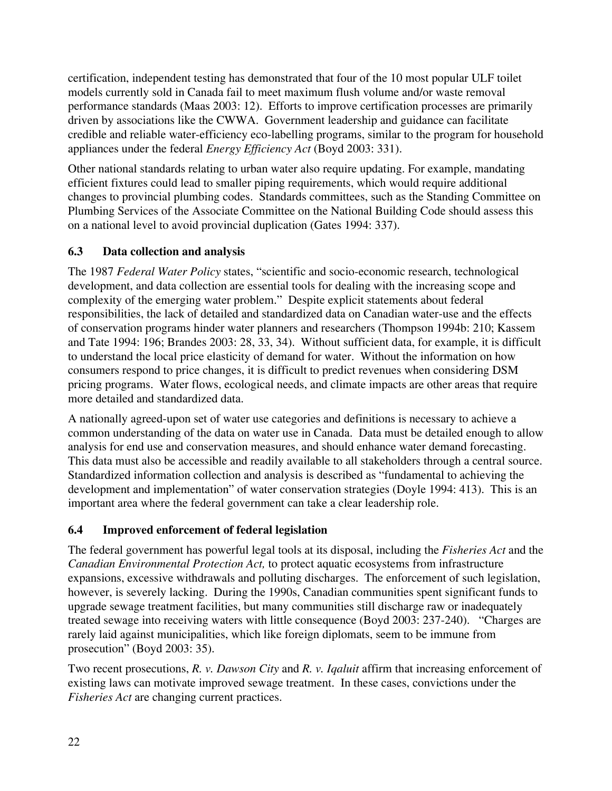certification, independent testing has demonstrated that four of the 10 most popular ULF toilet models currently sold in Canada fail to meet maximum flush volume and/or waste removal performance standards (Maas 2003: 12). Efforts to improve certification processes are primarily driven by associations like the CWWA. Government leadership and guidance can facilitate credible and reliable water-efficiency eco-labelling programs, similar to the program for household appliances under the federal *Energy Efficiency Act* (Boyd 2003: 331).

Other national standards relating to urban water also require updating. For example, mandating efficient fixtures could lead to smaller piping requirements, which would require additional changes to provincial plumbing codes. Standards committees, such as the Standing Committee on Plumbing Services of the Associate Committee on the National Building Code should assess this on a national level to avoid provincial duplication (Gates 1994: 337).

## **6.3 Data collection and analysis**

The 1987 *Federal Water Policy* states, "scientific and socio-economic research, technological development, and data collection are essential tools for dealing with the increasing scope and complexity of the emerging water problem." Despite explicit statements about federal responsibilities, the lack of detailed and standardized data on Canadian water-use and the effects of conservation programs hinder water planners and researchers (Thompson 1994b: 210; Kassem and Tate 1994: 196; Brandes 2003: 28, 33, 34). Without sufficient data, for example, it is difficult to understand the local price elasticity of demand for water. Without the information on how consumers respond to price changes, it is difficult to predict revenues when considering DSM pricing programs. Water flows, ecological needs, and climate impacts are other areas that require more detailed and standardized data.

A nationally agreed-upon set of water use categories and definitions is necessary to achieve a common understanding of the data on water use in Canada. Data must be detailed enough to allow analysis for end use and conservation measures, and should enhance water demand forecasting. This data must also be accessible and readily available to all stakeholders through a central source. Standardized information collection and analysis is described as "fundamental to achieving the development and implementation" of water conservation strategies (Doyle 1994: 413). This is an important area where the federal government can take a clear leadership role.

## **6.4 Improved enforcement of federal legislation**

The federal government has powerful legal tools at its disposal, including the *Fisheries Act* and the *Canadian Environmental Protection Act,* to protect aquatic ecosystems from infrastructure expansions, excessive withdrawals and polluting discharges. The enforcement of such legislation, however, is severely lacking. During the 1990s, Canadian communities spent significant funds to upgrade sewage treatment facilities, but many communities still discharge raw or inadequately treated sewage into receiving waters with little consequence (Boyd 2003: 237-240). "Charges are rarely laid against municipalities, which like foreign diplomats, seem to be immune from prosecution" (Boyd 2003: 35).

Two recent prosecutions, *R. v. Dawson City* and *R. v. Iqaluit* affirm that increasing enforcement of existing laws can motivate improved sewage treatment. In these cases, convictions under the *Fisheries Act* are changing current practices.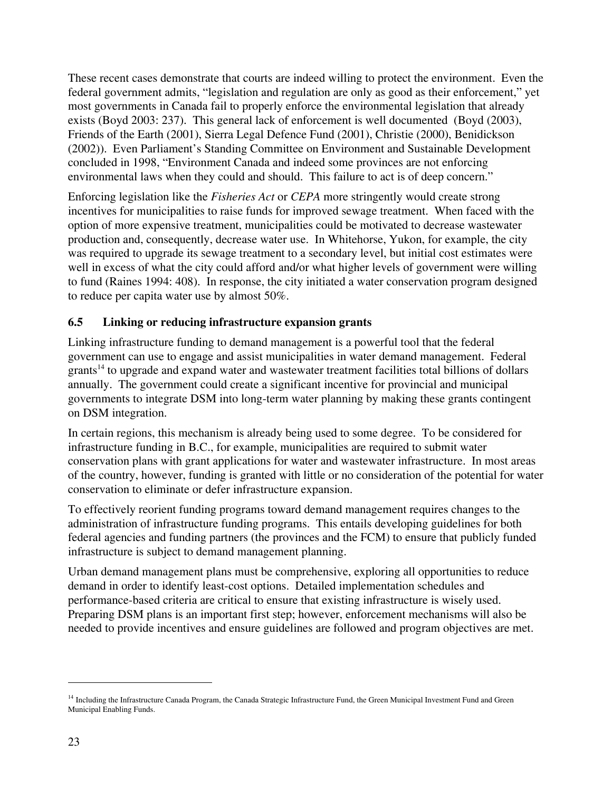These recent cases demonstrate that courts are indeed willing to protect the environment. Even the federal government admits, "legislation and regulation are only as good as their enforcement," yet most governments in Canada fail to properly enforce the environmental legislation that already exists (Boyd 2003: 237). This general lack of enforcement is well documented (Boyd (2003), Friends of the Earth (2001), Sierra Legal Defence Fund (2001), Christie (2000), Benidickson (2002)). Even Parliament's Standing Committee on Environment and Sustainable Development concluded in 1998, "Environment Canada and indeed some provinces are not enforcing environmental laws when they could and should. This failure to act is of deep concern."

Enforcing legislation like the *Fisheries Act* or *CEPA* more stringently would create strong incentives for municipalities to raise funds for improved sewage treatment. When faced with the option of more expensive treatment, municipalities could be motivated to decrease wastewater production and, consequently, decrease water use. In Whitehorse, Yukon, for example, the city was required to upgrade its sewage treatment to a secondary level, but initial cost estimates were well in excess of what the city could afford and/or what higher levels of government were willing to fund (Raines 1994: 408). In response, the city initiated a water conservation program designed to reduce per capita water use by almost 50%.

## **6.5 Linking or reducing infrastructure expansion grants**

Linking infrastructure funding to demand management is a powerful tool that the federal government can use to engage and assist municipalities in water demand management. Federal  $grants<sup>14</sup>$  to upgrade and expand water and wastewater treatment facilities total billions of dollars annually. The government could create a significant incentive for provincial and municipal governments to integrate DSM into long-term water planning by making these grants contingent on DSM integration.

In certain regions, this mechanism is already being used to some degree. To be considered for infrastructure funding in B.C., for example, municipalities are required to submit water conservation plans with grant applications for water and wastewater infrastructure. In most areas of the country, however, funding is granted with little or no consideration of the potential for water conservation to eliminate or defer infrastructure expansion.

To effectively reorient funding programs toward demand management requires changes to the administration of infrastructure funding programs. This entails developing guidelines for both federal agencies and funding partners (the provinces and the FCM) to ensure that publicly funded infrastructure is subject to demand management planning.

Urban demand management plans must be comprehensive, exploring all opportunities to reduce demand in order to identify least-cost options. Detailed implementation schedules and performance-based criteria are critical to ensure that existing infrastructure is wisely used. Preparing DSM plans is an important first step; however, enforcement mechanisms will also be needed to provide incentives and ensure guidelines are followed and program objectives are met.

<sup>&</sup>lt;sup>14</sup> Including the Infrastructure Canada Program, the Canada Strategic Infrastructure Fund, the Green Municipal Investment Fund and Green Municipal Enabling Funds.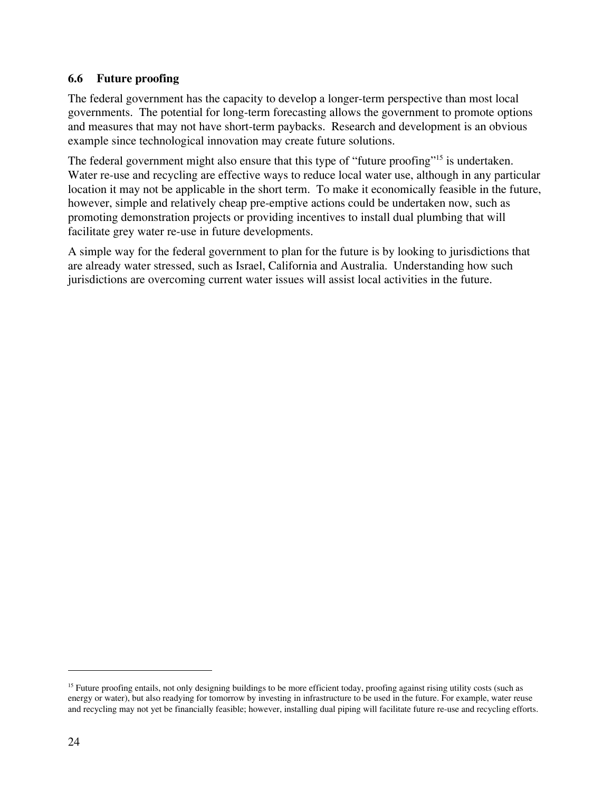### **6.6 Future proofing**

The federal government has the capacity to develop a longer-term perspective than most local governments. The potential for long-term forecasting allows the government to promote options and measures that may not have short-term paybacks. Research and development is an obvious example since technological innovation may create future solutions.

The federal government might also ensure that this type of "future proofing"<sup>15</sup> is undertaken. Water re-use and recycling are effective ways to reduce local water use, although in any particular location it may not be applicable in the short term. To make it economically feasible in the future, however, simple and relatively cheap pre-emptive actions could be undertaken now, such as promoting demonstration projects or providing incentives to install dual plumbing that will facilitate grey water re-use in future developments.

A simple way for the federal government to plan for the future is by looking to jurisdictions that are already water stressed, such as Israel, California and Australia. Understanding how such jurisdictions are overcoming current water issues will assist local activities in the future.

<sup>&</sup>lt;sup>15</sup> Future proofing entails, not only designing buildings to be more efficient today, proofing against rising utility costs (such as energy or water), but also readying for tomorrow by investing in infrastructure to be used in the future. For example, water reuse and recycling may not yet be financially feasible; however, installing dual piping will facilitate future re-use and recycling efforts.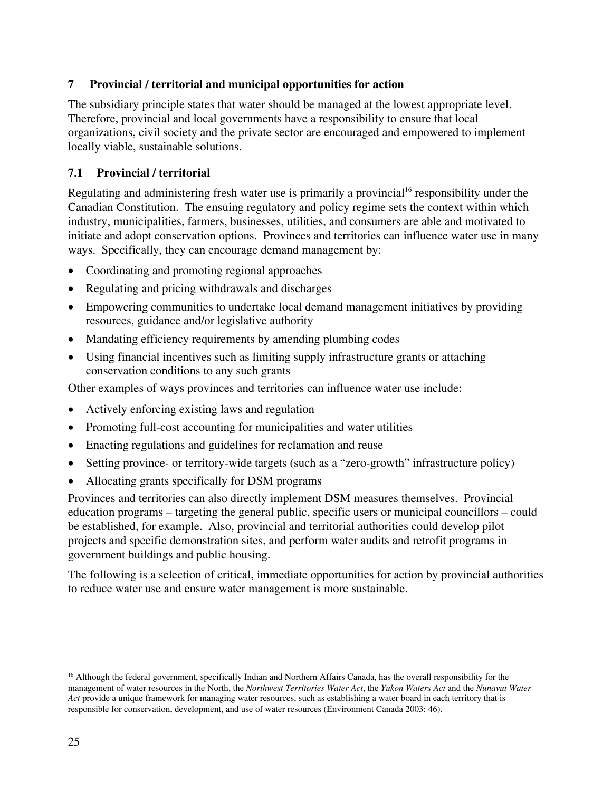## **7 Provincial / territorial and municipal opportunities for action**

The subsidiary principle states that water should be managed at the lowest appropriate level. Therefore, provincial and local governments have a responsibility to ensure that local organizations, civil society and the private sector are encouraged and empowered to implement locally viable, sustainable solutions.

## **7.1 Provincial / territorial**

Regulating and administering fresh water use is primarily a provincial<sup>16</sup> responsibility under the Canadian Constitution. The ensuing regulatory and policy regime sets the context within which industry, municipalities, farmers, businesses, utilities, and consumers are able and motivated to initiate and adopt conservation options. Provinces and territories can influence water use in many ways. Specifically, they can encourage demand management by:

- Coordinating and promoting regional approaches
- Regulating and pricing withdrawals and discharges
- Empowering communities to undertake local demand management initiatives by providing resources, guidance and/or legislative authority
- Mandating efficiency requirements by amending plumbing codes
- Using financial incentives such as limiting supply infrastructure grants or attaching conservation conditions to any such grants

Other examples of ways provinces and territories can influence water use include:

- Actively enforcing existing laws and regulation
- Promoting full-cost accounting for municipalities and water utilities
- Enacting regulations and guidelines for reclamation and reuse
- Setting province- or territory-wide targets (such as a "zero-growth" infrastructure policy)
- Allocating grants specifically for DSM programs

Provinces and territories can also directly implement DSM measures themselves. Provincial education programs – targeting the general public, specific users or municipal councillors – could be established, for example. Also, provincial and territorial authorities could develop pilot projects and specific demonstration sites, and perform water audits and retrofit programs in government buildings and public housing.

The following is a selection of critical, immediate opportunities for action by provincial authorities to reduce water use and ensure water management is more sustainable.

<sup>&</sup>lt;sup>16</sup> Although the federal government, specifically Indian and Northern Affairs Canada, has the overall responsibility for the management of water resources in the North, the *Northwest Territories Water Act*, the *Yukon Waters Act* and the *Nunavut Water Act* provide a unique framework for managing water resources, such as establishing a water board in each territory that is responsible for conservation, development, and use of water resources (Environment Canada 2003: 46).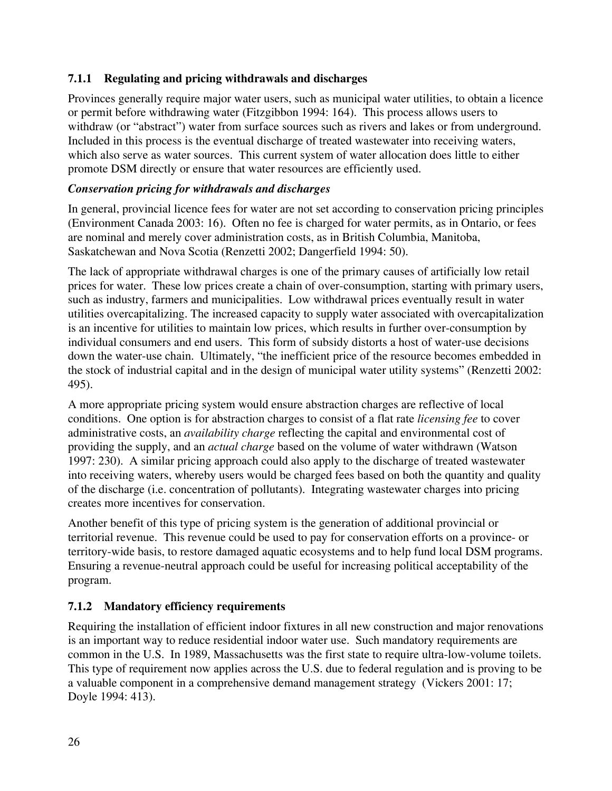## **7.1.1 Regulating and pricing withdrawals and discharges**

Provinces generally require major water users, such as municipal water utilities, to obtain a licence or permit before withdrawing water (Fitzgibbon 1994: 164). This process allows users to withdraw (or "abstract") water from surface sources such as rivers and lakes or from underground. Included in this process is the eventual discharge of treated wastewater into receiving waters, which also serve as water sources. This current system of water allocation does little to either promote DSM directly or ensure that water resources are efficiently used.

## *Conservation pricing for withdrawals and discharges*

In general, provincial licence fees for water are not set according to conservation pricing principles (Environment Canada 2003: 16). Often no fee is charged for water permits, as in Ontario, or fees are nominal and merely cover administration costs, as in British Columbia, Manitoba, Saskatchewan and Nova Scotia (Renzetti 2002; Dangerfield 1994: 50).

The lack of appropriate withdrawal charges is one of the primary causes of artificially low retail prices for water. These low prices create a chain of over-consumption, starting with primary users, such as industry, farmers and municipalities. Low withdrawal prices eventually result in water utilities overcapitalizing. The increased capacity to supply water associated with overcapitalization is an incentive for utilities to maintain low prices, which results in further over-consumption by individual consumers and end users. This form of subsidy distorts a host of water-use decisions down the water-use chain. Ultimately, "the inefficient price of the resource becomes embedded in the stock of industrial capital and in the design of municipal water utility systems" (Renzetti 2002: 495).

A more appropriate pricing system would ensure abstraction charges are reflective of local conditions. One option is for abstraction charges to consist of a flat rate *licensing fee* to cover administrative costs, an *availability charge* reflecting the capital and environmental cost of providing the supply, and an *actual charge* based on the volume of water withdrawn (Watson 1997: 230). A similar pricing approach could also apply to the discharge of treated wastewater into receiving waters, whereby users would be charged fees based on both the quantity and quality of the discharge (i.e. concentration of pollutants). Integrating wastewater charges into pricing creates more incentives for conservation.

Another benefit of this type of pricing system is the generation of additional provincial or territorial revenue. This revenue could be used to pay for conservation efforts on a province- or territory-wide basis, to restore damaged aquatic ecosystems and to help fund local DSM programs. Ensuring a revenue-neutral approach could be useful for increasing political acceptability of the program.

## **7.1.2 Mandatory efficiency requirements**

Requiring the installation of efficient indoor fixtures in all new construction and major renovations is an important way to reduce residential indoor water use. Such mandatory requirements are common in the U.S. In 1989, Massachusetts was the first state to require ultra-low-volume toilets. This type of requirement now applies across the U.S. due to federal regulation and is proving to be a valuable component in a comprehensive demand management strategy (Vickers 2001: 17; Doyle 1994: 413).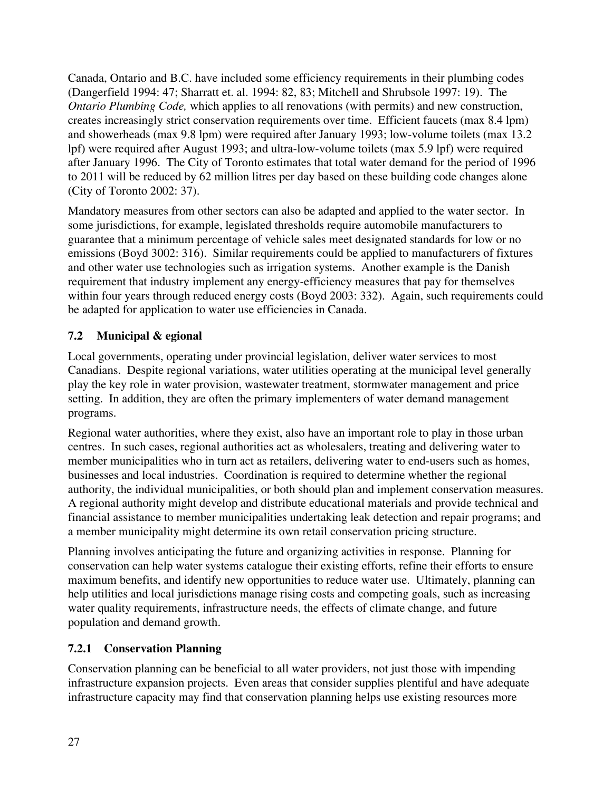Canada, Ontario and B.C. have included some efficiency requirements in their plumbing codes (Dangerfield 1994: 47; Sharratt et. al. 1994: 82, 83; Mitchell and Shrubsole 1997: 19). The *Ontario Plumbing Code,* which applies to all renovations (with permits) and new construction, creates increasingly strict conservation requirements over time. Efficient faucets (max 8.4 lpm) and showerheads (max 9.8 lpm) were required after January 1993; low-volume toilets (max 13.2 lpf) were required after August 1993; and ultra-low-volume toilets (max 5.9 lpf) were required after January 1996. The City of Toronto estimates that total water demand for the period of 1996 to 2011 will be reduced by 62 million litres per day based on these building code changes alone (City of Toronto 2002: 37).

Mandatory measures from other sectors can also be adapted and applied to the water sector. In some jurisdictions, for example, legislated thresholds require automobile manufacturers to guarantee that a minimum percentage of vehicle sales meet designated standards for low or no emissions (Boyd 3002: 316). Similar requirements could be applied to manufacturers of fixtures and other water use technologies such as irrigation systems. Another example is the Danish requirement that industry implement any energy-efficiency measures that pay for themselves within four years through reduced energy costs (Boyd 2003: 332). Again, such requirements could be adapted for application to water use efficiencies in Canada.

## **7.2 Municipal & egional**

Local governments, operating under provincial legislation, deliver water services to most Canadians. Despite regional variations, water utilities operating at the municipal level generally play the key role in water provision, wastewater treatment, stormwater management and price setting. In addition, they are often the primary implementers of water demand management programs.

Regional water authorities, where they exist, also have an important role to play in those urban centres. In such cases, regional authorities act as wholesalers, treating and delivering water to member municipalities who in turn act as retailers, delivering water to end-users such as homes, businesses and local industries. Coordination is required to determine whether the regional authority, the individual municipalities, or both should plan and implement conservation measures. A regional authority might develop and distribute educational materials and provide technical and financial assistance to member municipalities undertaking leak detection and repair programs; and a member municipality might determine its own retail conservation pricing structure.

Planning involves anticipating the future and organizing activities in response. Planning for conservation can help water systems catalogue their existing efforts, refine their efforts to ensure maximum benefits, and identify new opportunities to reduce water use. Ultimately, planning can help utilities and local jurisdictions manage rising costs and competing goals, such as increasing water quality requirements, infrastructure needs, the effects of climate change, and future population and demand growth.

## **7.2.1 Conservation Planning**

Conservation planning can be beneficial to all water providers, not just those with impending infrastructure expansion projects. Even areas that consider supplies plentiful and have adequate infrastructure capacity may find that conservation planning helps use existing resources more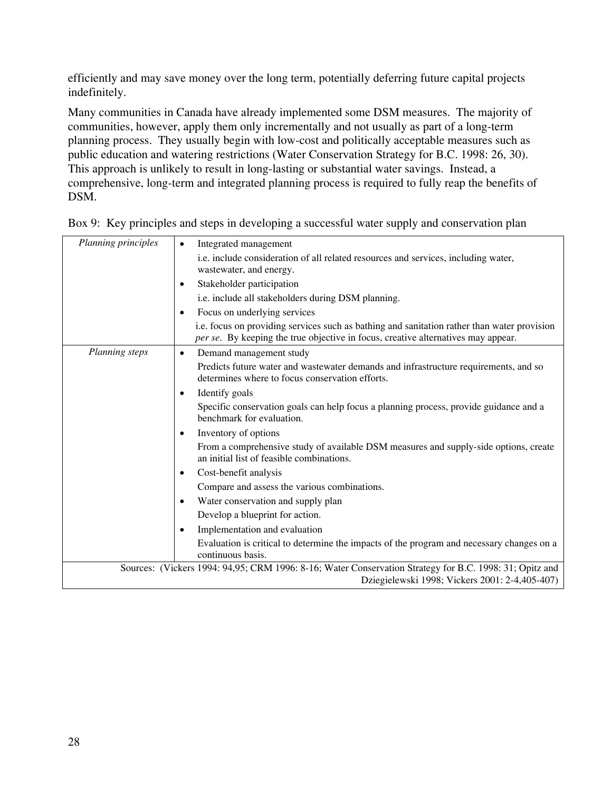efficiently and may save money over the long term, potentially deferring future capital projects indefinitely.

Many communities in Canada have already implemented some DSM measures. The majority of communities, however, apply them only incrementally and not usually as part of a long-term planning process. They usually begin with low-cost and politically acceptable measures such as public education and watering restrictions (Water Conservation Strategy for B.C. 1998: 26, 30). This approach is unlikely to result in long-lasting or substantial water savings. Instead, a comprehensive, long-term and integrated planning process is required to fully reap the benefits of DSM.

| Planning principles | Integrated management<br>$\bullet$                                                                                                                                               |
|---------------------|----------------------------------------------------------------------------------------------------------------------------------------------------------------------------------|
|                     | i.e. include consideration of all related resources and services, including water,<br>wastewater, and energy.                                                                    |
|                     | Stakeholder participation<br>$\bullet$                                                                                                                                           |
|                     | i.e. include all stakeholders during DSM planning.                                                                                                                               |
|                     | Focus on underlying services<br>$\bullet$                                                                                                                                        |
|                     | i.e. focus on providing services such as bathing and sanitation rather than water provision<br>per se. By keeping the true objective in focus, creative alternatives may appear. |
| Planning steps      | Demand management study<br>$\bullet$                                                                                                                                             |
|                     | Predicts future water and wastewater demands and infrastructure requirements, and so<br>determines where to focus conservation efforts.                                          |
|                     | Identify goals<br>$\bullet$                                                                                                                                                      |
|                     | Specific conservation goals can help focus a planning process, provide guidance and a<br>benchmark for evaluation.                                                               |
|                     | Inventory of options<br>$\bullet$                                                                                                                                                |
|                     | From a comprehensive study of available DSM measures and supply-side options, create<br>an initial list of feasible combinations.                                                |
|                     | Cost-benefit analysis<br>$\bullet$                                                                                                                                               |
|                     | Compare and assess the various combinations.                                                                                                                                     |
|                     | Water conservation and supply plan<br>$\bullet$                                                                                                                                  |
|                     | Develop a blueprint for action.                                                                                                                                                  |
|                     | Implementation and evaluation<br>$\bullet$                                                                                                                                       |
|                     | Evaluation is critical to determine the impacts of the program and necessary changes on a<br>continuous basis.                                                                   |
|                     | Sources: (Vickers 1994: 94,95; CRM 1996: 8-16; Water Conservation Strategy for B.C. 1998: 31; Opitz and<br>Dziegielewski 1998; Vickers 2001: 2-4,405-407)                        |

Box 9: Key principles and steps in developing a successful water supply and conservation plan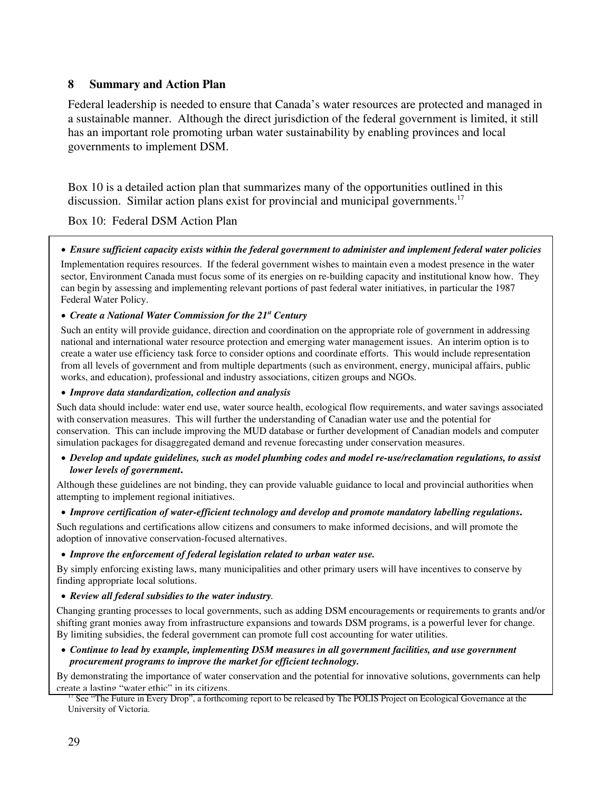### **8 Summary and Action Plan**

Federal leadership is needed to ensure that Canada's water resources are protected and managed in a sustainable manner. Although the direct jurisdiction of the federal government is limited, it still has an important role promoting urban water sustainability by enabling provinces and local governments to implement DSM.

Box 10 is a detailed action plan that summarizes many of the opportunities outlined in this discussion. Similar action plans exist for provincial and municipal governments.<sup>17</sup>

Box 10: Federal DSM Action Plan

### • *Ensure sufficient capacity exists within the federal government to administer and implement federal water policies*

Implementation requires resources. If the federal government wishes to maintain even a modest presence in the water sector, Environment Canada must focus some of its energies on re-building capacity and institutional know how. They can begin by assessing and implementing relevant portions of past federal water initiatives, in particular the 1987 Federal Water Policy.

### • *Create a National Water Commission for the 21st Century*

Such an entity will provide guidance, direction and coordination on the appropriate role of government in addressing national and international water resource protection and emerging water management issues. An interim option is to create a water use efficiency task force to consider options and coordinate efforts. This would include representation from all levels of government and from multiple departments (such as environment, energy, municipal affairs, public works, and education), professional and industry associations, citizen groups and NGOs.

### • *Improve data standardization, collection and analysis*

Such data should include: water end use, water source health, ecological flow requirements, and water savings associated with conservation measures. This will further the understanding of Canadian water use and the potential for conservation. This can include improving the MUD database or further development of Canadian models and computer simulation packages for disaggregated demand and revenue forecasting under conservation measures.

### • *Develop and update guidelines, such as model plumbing codes and model re-use/reclamation regulations, to assist lower levels of government***.**

Although these guidelines are not binding, they can provide valuable guidance to local and provincial authorities when attempting to implement regional initiatives.

### • *Improve certification of water-efficient technology and develop and promote mandatory labelling regulations***.**

Such regulations and certifications allow citizens and consumers to make informed decisions, and will promote the adoption of innovative conservation-focused alternatives.

### • *Improve the enforcement of federal legislation related to urban water use.*

By simply enforcing existing laws, many municipalities and other primary users will have incentives to conserve by finding appropriate local solutions.

#### • *Review all federal subsidies to the water industry.*

Changing granting processes to local governments, such as adding DSM encouragements or requirements to grants and/or shifting grant monies away from infrastructure expansions and towards DSM programs, is a powerful lever for change. By limiting subsidies, the federal government can promote full cost accounting for water utilities.

#### • *Continue to lead by example, implementing DSM measures in all government facilities, and use government procurement programs to improve the market for efficient technology.*

By demonstrating the importance of water conservation and the potential for innovative solutions, governments can help create a lasting "water ethic" in its citizens.

<sup>17</sup> See "The Future in Every Drop", a forthcoming report to be released by The POLIS Project on Ecological Governance at the University of Victoria.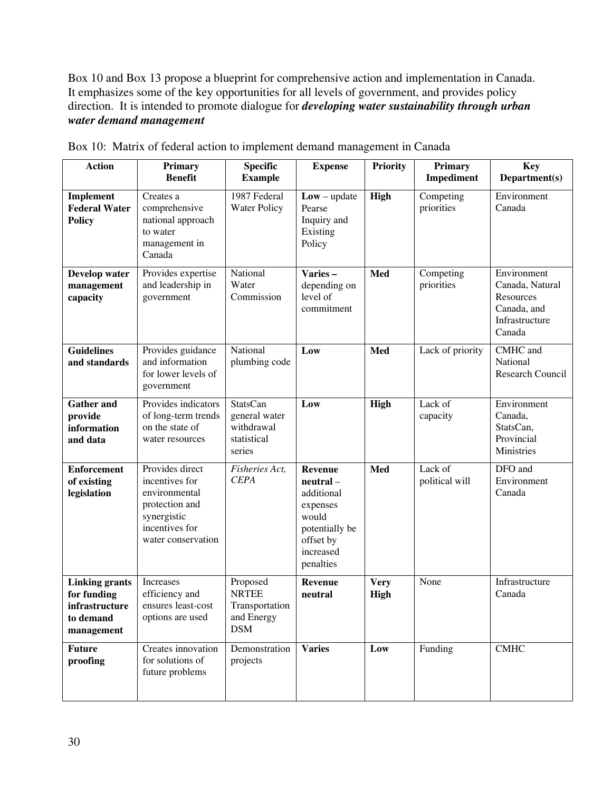Box 10 and Box 13 propose a blueprint for comprehensive action and implementation in Canada. It emphasizes some of the key opportunities for all levels of government, and provides policy direction. It is intended to promote dialogue for *developing water sustainability through urban water demand management* 

| <b>Action</b>                                                                     | Primary<br><b>Benefit</b>                                                                                                   | <b>Specific</b><br><b>Example</b>                                       | <b>Expense</b>                                                                                                          | <b>Priority</b>            | <b>Primary</b><br>Impediment | <b>Key</b><br>Department(s)                                                            |
|-----------------------------------------------------------------------------------|-----------------------------------------------------------------------------------------------------------------------------|-------------------------------------------------------------------------|-------------------------------------------------------------------------------------------------------------------------|----------------------------|------------------------------|----------------------------------------------------------------------------------------|
| <b>Implement</b><br><b>Federal Water</b><br><b>Policy</b>                         | Creates a<br>comprehensive<br>national approach<br>to water<br>management in<br>Canada                                      | 1987 Federal<br><b>Water Policy</b>                                     | $Low - update$<br>Pearse<br>Inquiry and<br>Existing<br>Policy                                                           | High                       | Competing<br>priorities      | Environment<br>Canada                                                                  |
| Develop water<br>management<br>capacity                                           | Provides expertise<br>and leadership in<br>government                                                                       | National<br>Water<br>Commission                                         | Varies-<br>depending on<br>level of<br>commitment                                                                       | Med                        | Competing<br>priorities      | Environment<br>Canada, Natural<br>Resources<br>Canada, and<br>Infrastructure<br>Canada |
| <b>Guidelines</b><br>and standards                                                | Provides guidance<br>and information<br>for lower levels of<br>government                                                   | National<br>plumbing code                                               | Low                                                                                                                     | Med                        | Lack of priority             | CMHC and<br>National<br><b>Research Council</b>                                        |
| <b>Gather and</b><br>provide<br>information<br>and data                           | Provides indicators<br>of long-term trends<br>on the state of<br>water resources                                            | <b>StatsCan</b><br>general water<br>withdrawal<br>statistical<br>series | Low                                                                                                                     | High                       | Lack of<br>capacity          | Environment<br>Canada.<br>StatsCan,<br>Provincial<br>Ministries                        |
| <b>Enforcement</b><br>of existing<br>legislation                                  | Provides direct<br>incentives for<br>environmental<br>protection and<br>synergistic<br>incentives for<br>water conservation | Fisheries Act,<br><b>CEPA</b>                                           | <b>Revenue</b><br>neutral -<br>additional<br>expenses<br>would<br>potentially be<br>offset by<br>increased<br>penalties | Med                        | Lack of<br>political will    | DFO and<br>Environment<br>Canada                                                       |
| <b>Linking grants</b><br>for funding<br>infrastructure<br>to demand<br>management | Increases<br>efficiency and<br>ensures least-cost<br>options are used                                                       | Proposed<br><b>NRTEE</b><br>Transportation<br>and Energy<br><b>DSM</b>  | <b>Revenue</b><br>neutral                                                                                               | <b>Very</b><br><b>High</b> | None                         | Infrastructure<br>Canada                                                               |
| <b>Future</b><br>proofing                                                         | Creates innovation<br>for solutions of<br>future problems                                                                   | Demonstration<br>projects                                               | <b>Varies</b>                                                                                                           | Low                        | Funding                      | <b>CMHC</b>                                                                            |

Box 10: Matrix of federal action to implement demand management in Canada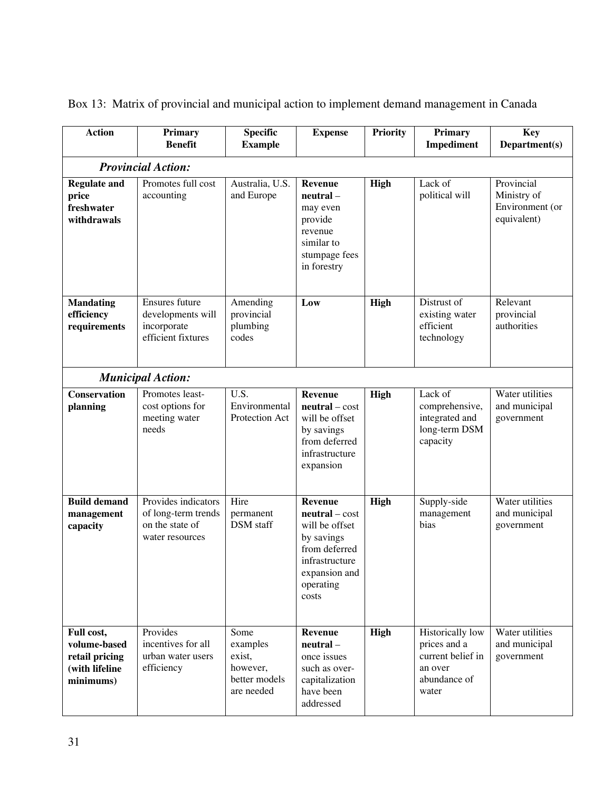| <b>Action</b>                                                               | Primary<br><b>Benefit</b>                                                        | <b>Specific</b><br><b>Example</b>                                     | <b>Expense</b>                                                                                                                               | <b>Priority</b> | <b>Primary</b><br>Impediment                                                              | <b>Key</b><br>Department(s)                                 |
|-----------------------------------------------------------------------------|----------------------------------------------------------------------------------|-----------------------------------------------------------------------|----------------------------------------------------------------------------------------------------------------------------------------------|-----------------|-------------------------------------------------------------------------------------------|-------------------------------------------------------------|
|                                                                             | <b>Provincial Action:</b>                                                        |                                                                       |                                                                                                                                              |                 |                                                                                           |                                                             |
| <b>Regulate and</b><br>price<br>freshwater<br>withdrawals                   | Promotes full cost<br>accounting                                                 | Australia, U.S.<br>and Europe                                         | Revenue<br>neutral -<br>may even<br>provide<br>revenue<br>similar to<br>stumpage fees<br>in forestry                                         | High            | Lack of<br>political will                                                                 | Provincial<br>Ministry of<br>Environment (or<br>equivalent) |
| <b>Mandating</b><br>efficiency<br>requirements                              | Ensures future<br>developments will<br>incorporate<br>efficient fixtures         | Amending<br>provincial<br>plumbing<br>codes                           | Low                                                                                                                                          | High            | Distrust of<br>existing water<br>efficient<br>technology                                  | Relevant<br>provincial<br>authorities                       |
|                                                                             | <b>Municipal Action:</b>                                                         |                                                                       |                                                                                                                                              |                 |                                                                                           |                                                             |
| <b>Conservation</b><br>planning                                             | Promotes least-<br>cost options for<br>meeting water<br>needs                    | U.S.<br>Environmental<br>Protection Act                               | Revenue<br>$neutral - cost$<br>will be offset<br>by savings<br>from deferred<br>infrastructure<br>expansion                                  | High            | Lack of<br>comprehensive,<br>integrated and<br>long-term DSM<br>capacity                  | Water utilities<br>and municipal<br>government              |
| <b>Build demand</b><br>management<br>capacity                               | Provides indicators<br>of long-term trends<br>on the state of<br>water resources | Hire<br>permanent<br><b>DSM</b> staff                                 | <b>Revenue</b><br>$neutral - cost$<br>will be offset<br>by savings<br>from deferred<br>infrastructure<br>expansion and<br>operating<br>costs | High            | Supply-side<br>management<br>bias                                                         | Water utilities<br>and municipal<br>government              |
| Full cost,<br>volume-based<br>retail pricing<br>(with lifeline<br>minimums) | Provides<br>incentives for all<br>urban water users<br>efficiency                | Some<br>examples<br>exist,<br>however,<br>better models<br>are needed | Revenue<br>neutral -<br>once issues<br>such as over-<br>capitalization<br>have been<br>addressed                                             | High            | Historically low<br>prices and a<br>current belief in<br>an over<br>abundance of<br>water | Water utilities<br>and municipal<br>government              |

Box 13: Matrix of provincial and municipal action to implement demand management in Canada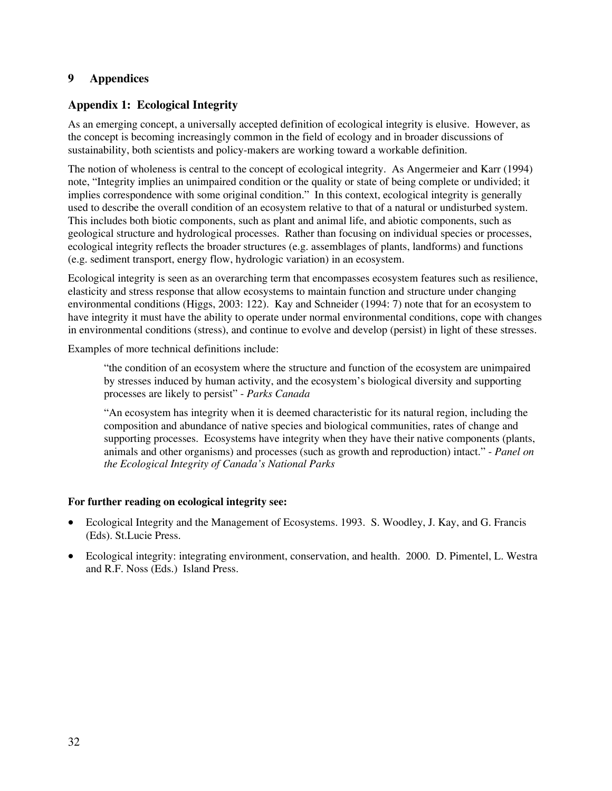### **9 Appendices**

## **Appendix 1: Ecological Integrity**

As an emerging concept, a universally accepted definition of ecological integrity is elusive. However, as the concept is becoming increasingly common in the field of ecology and in broader discussions of sustainability, both scientists and policy-makers are working toward a workable definition.

The notion of wholeness is central to the concept of ecological integrity. As Angermeier and Karr (1994) note, "Integrity implies an unimpaired condition or the quality or state of being complete or undivided; it implies correspondence with some original condition." In this context, ecological integrity is generally used to describe the overall condition of an ecosystem relative to that of a natural or undisturbed system. This includes both biotic components, such as plant and animal life, and abiotic components, such as geological structure and hydrological processes. Rather than focusing on individual species or processes, ecological integrity reflects the broader structures (e.g. assemblages of plants, landforms) and functions (e.g. sediment transport, energy flow, hydrologic variation) in an ecosystem.

Ecological integrity is seen as an overarching term that encompasses ecosystem features such as resilience, elasticity and stress response that allow ecosystems to maintain function and structure under changing environmental conditions (Higgs, 2003: 122). Kay and Schneider (1994: 7) note that for an ecosystem to have integrity it must have the ability to operate under normal environmental conditions, cope with changes in environmental conditions (stress), and continue to evolve and develop (persist) in light of these stresses.

Examples of more technical definitions include:

"the condition of an ecosystem where the structure and function of the ecosystem are unimpaired by stresses induced by human activity, and the ecosystem's biological diversity and supporting processes are likely to persist" - *Parks Canada*

"An ecosystem has integrity when it is deemed characteristic for its natural region, including the composition and abundance of native species and biological communities, rates of change and supporting processes. Ecosystems have integrity when they have their native components (plants, animals and other organisms) and processes (such as growth and reproduction) intact." - *Panel on the Ecological Integrity of Canada's National Parks* 

### **For further reading on ecological integrity see:**

- Ecological Integrity and the Management of Ecosystems. 1993. S. Woodley, J. Kay, and G. Francis (Eds). St.Lucie Press.
- Ecological integrity: integrating environment, conservation, and health. 2000. D. Pimentel, L. Westra and R.F. Noss (Eds.) Island Press.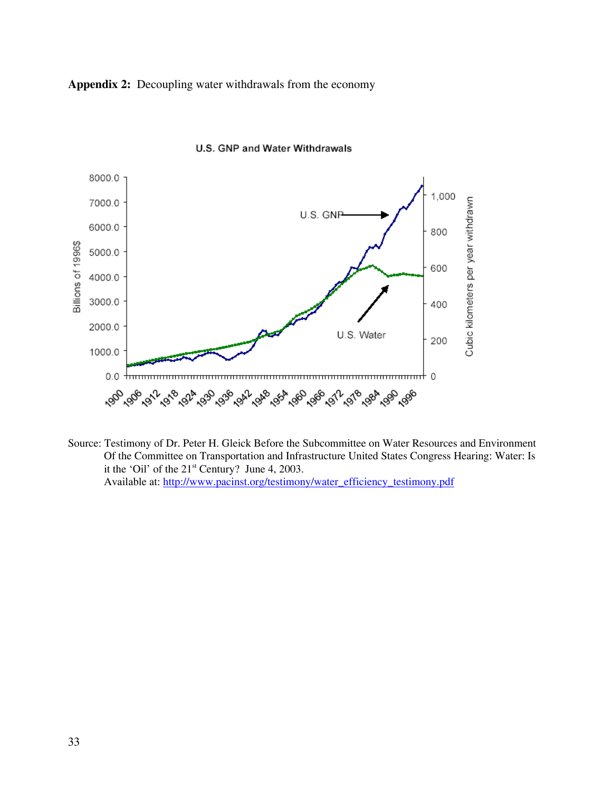**Appendix 2:** Decoupling water withdrawals from the economy



U.S. GNP and Water Withdrawals

Source: Testimony of Dr. Peter H. Gleick Before the Subcommittee on Water Resources and Environment Of the Committee on Transportation and Infrastructure United States Congress Hearing: Water: Is it the 'Oil' of the 21<sup>st</sup> Century? June 4, 2003. Available at: http://www.pacinst.org/testimony/water\_efficiency\_testimony.pdf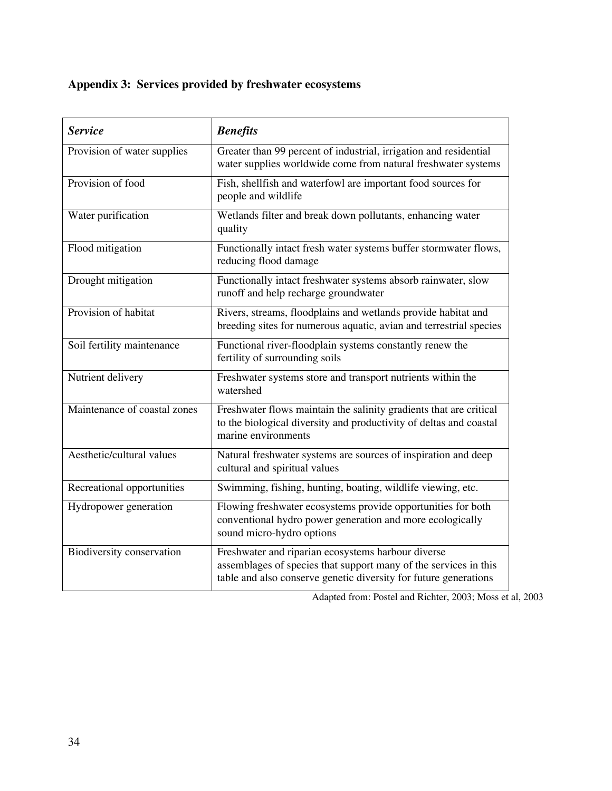## **Appendix 3: Services provided by freshwater ecosystems**

| <b>Service</b>               | <b>Benefits</b>                                                                                                                                                                            |
|------------------------------|--------------------------------------------------------------------------------------------------------------------------------------------------------------------------------------------|
| Provision of water supplies  | Greater than 99 percent of industrial, irrigation and residential<br>water supplies worldwide come from natural freshwater systems                                                         |
| Provision of food            | Fish, shellfish and waterfowl are important food sources for<br>people and wildlife                                                                                                        |
| Water purification           | Wetlands filter and break down pollutants, enhancing water<br>quality                                                                                                                      |
| Flood mitigation             | Functionally intact fresh water systems buffer stormwater flows,<br>reducing flood damage                                                                                                  |
| Drought mitigation           | Functionally intact freshwater systems absorb rainwater, slow<br>runoff and help recharge groundwater                                                                                      |
| Provision of habitat         | Rivers, streams, floodplains and wetlands provide habitat and<br>breeding sites for numerous aquatic, avian and terrestrial species                                                        |
| Soil fertility maintenance   | Functional river-floodplain systems constantly renew the<br>fertility of surrounding soils                                                                                                 |
| Nutrient delivery            | Freshwater systems store and transport nutrients within the<br>watershed                                                                                                                   |
| Maintenance of coastal zones | Freshwater flows maintain the salinity gradients that are critical<br>to the biological diversity and productivity of deltas and coastal<br>marine environments                            |
| Aesthetic/cultural values    | Natural freshwater systems are sources of inspiration and deep<br>cultural and spiritual values                                                                                            |
| Recreational opportunities   | Swimming, fishing, hunting, boating, wildlife viewing, etc.                                                                                                                                |
| Hydropower generation        | Flowing freshwater ecosystems provide opportunities for both<br>conventional hydro power generation and more ecologically<br>sound micro-hydro options                                     |
| Biodiversity conservation    | Freshwater and riparian ecosystems harbour diverse<br>assemblages of species that support many of the services in this<br>table and also conserve genetic diversity for future generations |

Adapted from: Postel and Richter, 2003; Moss et al, 2003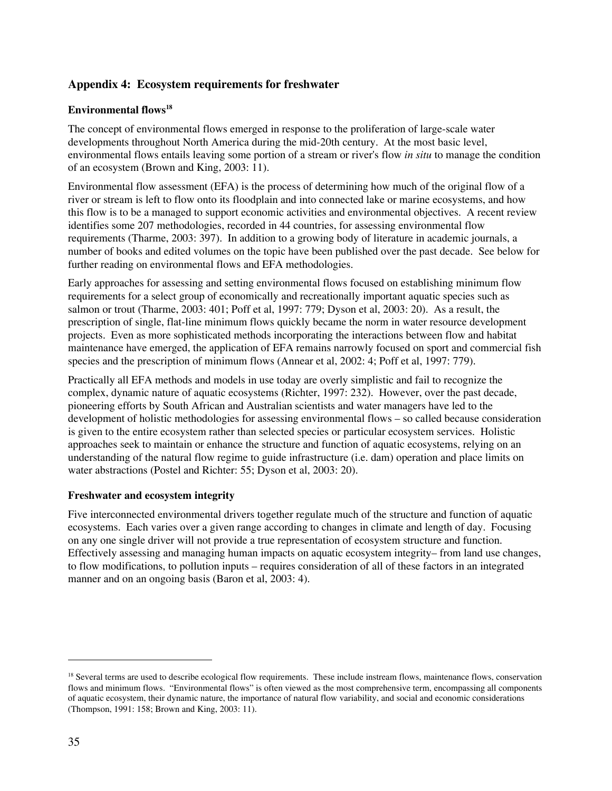## **Appendix 4: Ecosystem requirements for freshwater**

### **Environmental flows18**

The concept of environmental flows emerged in response to the proliferation of large-scale water developments throughout North America during the mid-20th century. At the most basic level, environmental flows entails leaving some portion of a stream or river's flow *in situ* to manage the condition of an ecosystem (Brown and King, 2003: 11).

Environmental flow assessment (EFA) is the process of determining how much of the original flow of a river or stream is left to flow onto its floodplain and into connected lake or marine ecosystems, and how this flow is to be a managed to support economic activities and environmental objectives. A recent review identifies some 207 methodologies, recorded in 44 countries, for assessing environmental flow requirements (Tharme, 2003: 397). In addition to a growing body of literature in academic journals, a number of books and edited volumes on the topic have been published over the past decade. See below for further reading on environmental flows and EFA methodologies.

Early approaches for assessing and setting environmental flows focused on establishing minimum flow requirements for a select group of economically and recreationally important aquatic species such as salmon or trout (Tharme, 2003: 401; Poff et al, 1997: 779; Dyson et al, 2003: 20). As a result, the prescription of single, flat-line minimum flows quickly became the norm in water resource development projects. Even as more sophisticated methods incorporating the interactions between flow and habitat maintenance have emerged, the application of EFA remains narrowly focused on sport and commercial fish species and the prescription of minimum flows (Annear et al, 2002: 4; Poff et al, 1997: 779).

Practically all EFA methods and models in use today are overly simplistic and fail to recognize the complex, dynamic nature of aquatic ecosystems (Richter, 1997: 232). However, over the past decade, pioneering efforts by South African and Australian scientists and water managers have led to the development of holistic methodologies for assessing environmental flows – so called because consideration is given to the entire ecosystem rather than selected species or particular ecosystem services. Holistic approaches seek to maintain or enhance the structure and function of aquatic ecosystems, relying on an understanding of the natural flow regime to guide infrastructure (i.e. dam) operation and place limits on water abstractions (Postel and Richter: 55; Dyson et al, 2003: 20).

### **Freshwater and ecosystem integrity**

Five interconnected environmental drivers together regulate much of the structure and function of aquatic ecosystems. Each varies over a given range according to changes in climate and length of day. Focusing on any one single driver will not provide a true representation of ecosystem structure and function. Effectively assessing and managing human impacts on aquatic ecosystem integrity– from land use changes, to flow modifications, to pollution inputs – requires consideration of all of these factors in an integrated manner and on an ongoing basis (Baron et al, 2003: 4).

<sup>&</sup>lt;sup>18</sup> Several terms are used to describe ecological flow requirements. These include instream flows, maintenance flows, conservation flows and minimum flows. "Environmental flows" is often viewed as the most comprehensive term, encompassing all components of aquatic ecosystem, their dynamic nature, the importance of natural flow variability, and social and economic considerations (Thompson, 1991: 158; Brown and King, 2003: 11).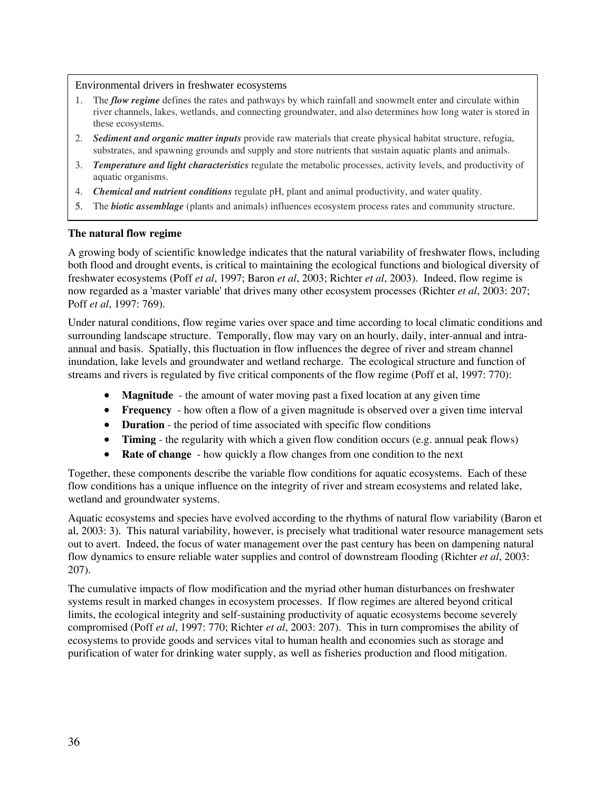Environmental drivers in freshwater ecosystems

- 1. The *flow regime* defines the rates and pathways by which rainfall and snowmelt enter and circulate within river channels, lakes, wetlands, and connecting groundwater, and also determines how long water is stored in these ecosystems.
- 2. *Sediment and organic matter inputs* provide raw materials that create physical habitat structure, refugia, substrates, and spawning grounds and supply and store nutrients that sustain aquatic plants and animals.
- 3. *Temperature and light characteristics* regulate the metabolic processes, activity levels, and productivity of aquatic organisms.
- 4. *Chemical and nutrient conditions* regulate pH, plant and animal productivity, and water quality.
- 5. The *biotic assemblage* (plants and animals) influences ecosystem process rates and community structure.

### **The natural flow regime**

A growing body of scientific knowledge indicates that the natural variability of freshwater flows, including both flood and drought events, is critical to maintaining the ecological functions and biological diversity of freshwater ecosystems (Poff *et al*, 1997; Baron *et al*, 2003; Richter *et al*, 2003). Indeed, flow regime is now regarded as a 'master variable' that drives many other ecosystem processes (Richter *et al*, 2003: 207; Poff *et al*, 1997: 769).

Under natural conditions, flow regime varies over space and time according to local climatic conditions and surrounding landscape structure. Temporally, flow may vary on an hourly, daily, inter-annual and intraannual and basis. Spatially, this fluctuation in flow influences the degree of river and stream channel inundation, lake levels and groundwater and wetland recharge. The ecological structure and function of streams and rivers is regulated by five critical components of the flow regime (Poff et al, 1997: 770):

- **Magnitude** the amount of water moving past a fixed location at any given time
- **Frequency** how often a flow of a given magnitude is observed over a given time interval
- **Duration** the period of time associated with specific flow conditions
- **Timing** the regularity with which a given flow condition occurs (e.g. annual peak flows)
- **Rate of change** how quickly a flow changes from one condition to the next

Together, these components describe the variable flow conditions for aquatic ecosystems. Each of these flow conditions has a unique influence on the integrity of river and stream ecosystems and related lake, wetland and groundwater systems.

Aquatic ecosystems and species have evolved according to the rhythms of natural flow variability (Baron et al, 2003: 3). This natural variability, however, is precisely what traditional water resource management sets out to avert. Indeed, the focus of water management over the past century has been on dampening natural flow dynamics to ensure reliable water supplies and control of downstream flooding (Richter *et al*, 2003: 207).

The cumulative impacts of flow modification and the myriad other human disturbances on freshwater systems result in marked changes in ecosystem processes. If flow regimes are altered beyond critical limits, the ecological integrity and self-sustaining productivity of aquatic ecosystems become severely compromised (Poff *et al*, 1997: 770; Richter *et al*, 2003: 207). This in turn compromises the ability of ecosystems to provide goods and services vital to human health and economies such as storage and purification of water for drinking water supply, as well as fisheries production and flood mitigation.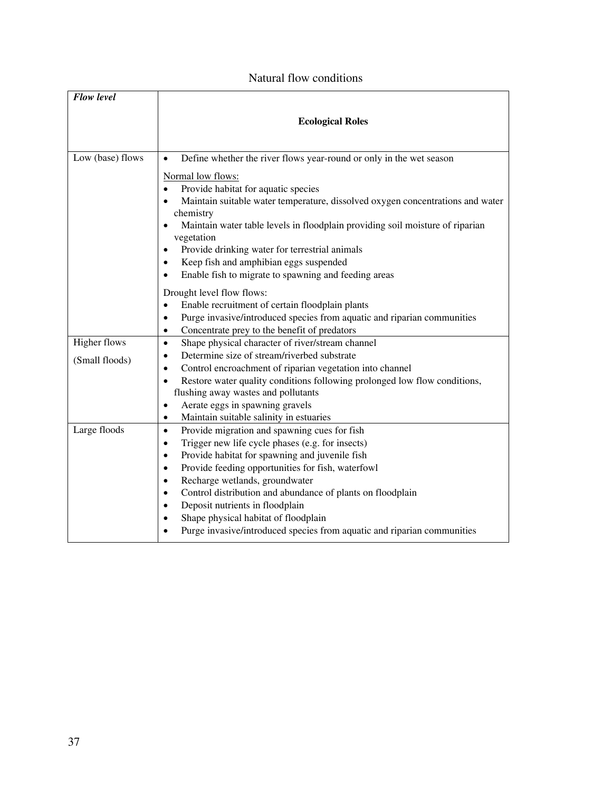### Natural flow conditions

| <b>Flow level</b>                     |                                                                                                                                                                                                                                                                                                                                                                                                                                                                                |
|---------------------------------------|--------------------------------------------------------------------------------------------------------------------------------------------------------------------------------------------------------------------------------------------------------------------------------------------------------------------------------------------------------------------------------------------------------------------------------------------------------------------------------|
|                                       | <b>Ecological Roles</b>                                                                                                                                                                                                                                                                                                                                                                                                                                                        |
| Low (base) flows                      | Define whether the river flows year-round or only in the wet season<br>$\bullet$                                                                                                                                                                                                                                                                                                                                                                                               |
|                                       | Normal low flows:<br>Provide habitat for aquatic species<br>Maintain suitable water temperature, dissolved oxygen concentrations and water<br>chemistry<br>Maintain water table levels in floodplain providing soil moisture of riparian<br>vegetation<br>Provide drinking water for terrestrial animals<br>٠<br>Keep fish and amphibian eggs suspended<br>Enable fish to migrate to spawning and feeding areas<br>$\bullet$                                                   |
|                                       | Drought level flow flows:                                                                                                                                                                                                                                                                                                                                                                                                                                                      |
|                                       | Enable recruitment of certain floodplain plants<br>$\bullet$<br>Purge invasive/introduced species from aquatic and riparian communities<br>$\bullet$<br>Concentrate prey to the benefit of predators<br>٠                                                                                                                                                                                                                                                                      |
| <b>Higher flows</b><br>(Small floods) | Shape physical character of river/stream channel<br>$\bullet$<br>Determine size of stream/riverbed substrate<br>$\bullet$<br>Control encroachment of riparian vegetation into channel<br>Restore water quality conditions following prolonged low flow conditions,<br>$\bullet$<br>flushing away wastes and pollutants<br>Aerate eggs in spawning gravels<br>٠                                                                                                                 |
| Large floods                          | Maintain suitable salinity in estuaries<br>٠<br>Provide migration and spawning cues for fish<br>$\bullet$                                                                                                                                                                                                                                                                                                                                                                      |
|                                       | Trigger new life cycle phases (e.g. for insects)<br>$\bullet$<br>Provide habitat for spawning and juvenile fish<br>$\bullet$<br>Provide feeding opportunities for fish, waterfowl<br>$\bullet$<br>Recharge wetlands, groundwater<br>$\bullet$<br>Control distribution and abundance of plants on floodplain<br>$\bullet$<br>Deposit nutrients in floodplain<br>Shape physical habitat of floodplain<br>Purge invasive/introduced species from aquatic and riparian communities |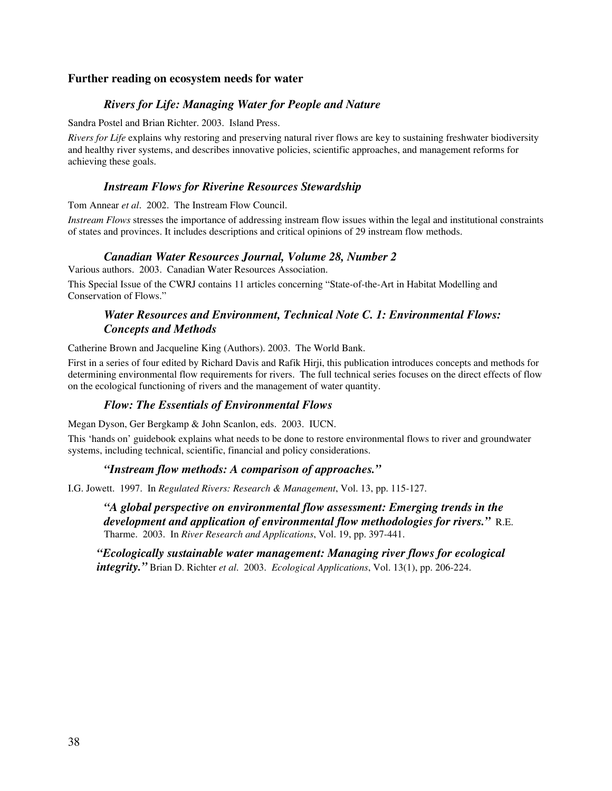### **Further reading on ecosystem needs for water**

### *Rivers for Life: Managing Water for People and Nature*

Sandra Postel and Brian Richter. 2003. Island Press.

*Rivers for Life* explains why restoring and preserving natural river flows are key to sustaining freshwater biodiversity and healthy river systems, and describes innovative policies, scientific approaches, and management reforms for achieving these goals.

### *Instream Flows for Riverine Resources Stewardship*

Tom Annear *et al*. 2002. The Instream Flow Council.

*Instream Flows* stresses the importance of addressing instream flow issues within the legal and institutional constraints of states and provinces. It includes descriptions and critical opinions of 29 instream flow methods.

### *Canadian Water Resources Journal, Volume 28, Number 2*

Various authors. 2003. Canadian Water Resources Association.

This Special Issue of the CWRJ contains 11 articles concerning "State-of-the-Art in Habitat Modelling and Conservation of Flows."

### *Water Resources and Environment, Technical Note C. 1: Environmental Flows: Concepts and Methods*

Catherine Brown and Jacqueline King (Authors). 2003. The World Bank.

First in a series of four edited by Richard Davis and Rafik Hirji, this publication introduces concepts and methods for determining environmental flow requirements for rivers. The full technical series focuses on the direct effects of flow on the ecological functioning of rivers and the management of water quantity.

### *Flow: The Essentials of Environmental Flows*

Megan Dyson, Ger Bergkamp & John Scanlon, eds. 2003. IUCN.

This 'hands on' guidebook explains what needs to be done to restore environmental flows to river and groundwater systems, including technical, scientific, financial and policy considerations.

### *"Instream flow methods: A comparison of approaches."*

I.G. Jowett. 1997. In *Regulated Rivers: Research & Management*, Vol. 13, pp. 115-127.

*"A global perspective on environmental flow assessment: Emerging trends in the development and application of environmental flow methodologies for rivers."*R.E. Tharme. 2003. In *River Research and Applications*, Vol. 19, pp. 397-441.

*"Ecologically sustainable water management: Managing river flows for ecological integrity."* Brian D. Richter *et al*. 2003. *Ecological Applications*, Vol. 13(1), pp. 206-224.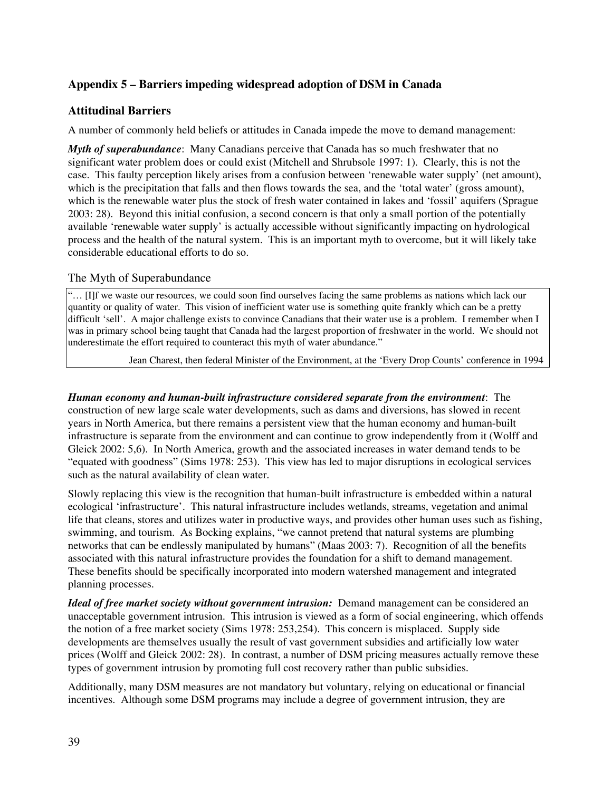## **Appendix 5 – Barriers impeding widespread adoption of DSM in Canada**

### **Attitudinal Barriers**

A number of commonly held beliefs or attitudes in Canada impede the move to demand management:

*Myth of superabundance*: Many Canadians perceive that Canada has so much freshwater that no significant water problem does or could exist (Mitchell and Shrubsole 1997: 1). Clearly, this is not the case. This faulty perception likely arises from a confusion between 'renewable water supply' (net amount), which is the precipitation that falls and then flows towards the sea, and the 'total water' (gross amount), which is the renewable water plus the stock of fresh water contained in lakes and 'fossil' aquifers (Sprague 2003: 28). Beyond this initial confusion, a second concern is that only a small portion of the potentially available 'renewable water supply' is actually accessible without significantly impacting on hydrological process and the health of the natural system. This is an important myth to overcome, but it will likely take considerable educational efforts to do so.

### The Myth of Superabundance

"… [I]f we waste our resources, we could soon find ourselves facing the same problems as nations which lack our quantity or quality of water. This vision of inefficient water use is something quite frankly which can be a pretty difficult 'sell'. A major challenge exists to convince Canadians that their water use is a problem. I remember when I was in primary school being taught that Canada had the largest proportion of freshwater in the world. We should not underestimate the effort required to counteract this myth of water abundance."

Jean Charest, then federal Minister of the Environment, at the 'Every Drop Counts' conference in 1994

*Human economy and human-built infrastructure considered separate from the environment*: The construction of new large scale water developments, such as dams and diversions, has slowed in recent years in North America, but there remains a persistent view that the human economy and human-built infrastructure is separate from the environment and can continue to grow independently from it (Wolff and Gleick 2002: 5,6). In North America, growth and the associated increases in water demand tends to be "equated with goodness" (Sims 1978: 253). This view has led to major disruptions in ecological services such as the natural availability of clean water.

Slowly replacing this view is the recognition that human-built infrastructure is embedded within a natural ecological 'infrastructure'. This natural infrastructure includes wetlands, streams, vegetation and animal life that cleans, stores and utilizes water in productive ways, and provides other human uses such as fishing, swimming, and tourism. As Bocking explains, "we cannot pretend that natural systems are plumbing networks that can be endlessly manipulated by humans" (Maas 2003: 7). Recognition of all the benefits associated with this natural infrastructure provides the foundation for a shift to demand management. These benefits should be specifically incorporated into modern watershed management and integrated planning processes.

*Ideal of free market society without government intrusion:* Demand management can be considered an unacceptable government intrusion. This intrusion is viewed as a form of social engineering, which offends the notion of a free market society (Sims 1978: 253,254). This concern is misplaced. Supply side developments are themselves usually the result of vast government subsidies and artificially low water prices (Wolff and Gleick 2002: 28). In contrast, a number of DSM pricing measures actually remove these types of government intrusion by promoting full cost recovery rather than public subsidies.

Additionally, many DSM measures are not mandatory but voluntary, relying on educational or financial incentives. Although some DSM programs may include a degree of government intrusion, they are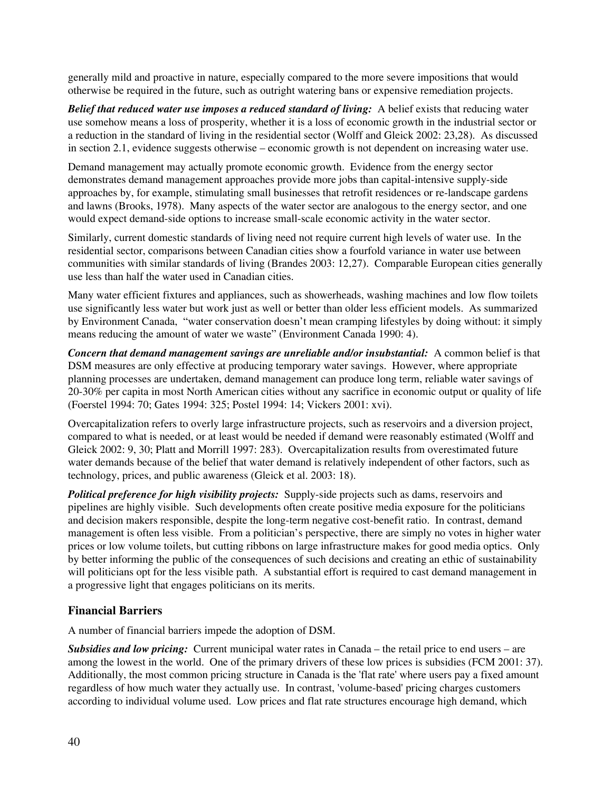generally mild and proactive in nature, especially compared to the more severe impositions that would otherwise be required in the future, such as outright watering bans or expensive remediation projects.

*Belief that reduced water use imposes a reduced standard of living:* A belief exists that reducing water use somehow means a loss of prosperity, whether it is a loss of economic growth in the industrial sector or a reduction in the standard of living in the residential sector (Wolff and Gleick 2002: 23,28). As discussed in section 2.1, evidence suggests otherwise – economic growth is not dependent on increasing water use.

Demand management may actually promote economic growth. Evidence from the energy sector demonstrates demand management approaches provide more jobs than capital-intensive supply-side approaches by, for example, stimulating small businesses that retrofit residences or re-landscape gardens and lawns (Brooks, 1978). Many aspects of the water sector are analogous to the energy sector, and one would expect demand-side options to increase small-scale economic activity in the water sector.

Similarly, current domestic standards of living need not require current high levels of water use. In the residential sector, comparisons between Canadian cities show a fourfold variance in water use between communities with similar standards of living (Brandes 2003: 12,27). Comparable European cities generally use less than half the water used in Canadian cities.

Many water efficient fixtures and appliances, such as showerheads, washing machines and low flow toilets use significantly less water but work just as well or better than older less efficient models. As summarized by Environment Canada, "water conservation doesn't mean cramping lifestyles by doing without: it simply means reducing the amount of water we waste" (Environment Canada 1990: 4).

*Concern that demand management savings are unreliable and/or insubstantial:* A common belief is that DSM measures are only effective at producing temporary water savings. However, where appropriate planning processes are undertaken, demand management can produce long term, reliable water savings of 20-30% per capita in most North American cities without any sacrifice in economic output or quality of life (Foerstel 1994: 70; Gates 1994: 325; Postel 1994: 14; Vickers 2001: xvi).

Overcapitalization refers to overly large infrastructure projects, such as reservoirs and a diversion project, compared to what is needed, or at least would be needed if demand were reasonably estimated (Wolff and Gleick 2002: 9, 30; Platt and Morrill 1997: 283). Overcapitalization results from overestimated future water demands because of the belief that water demand is relatively independent of other factors, such as technology, prices, and public awareness (Gleick et al. 2003: 18).

*Political preference for high visibility projects:* Supply-side projects such as dams, reservoirs and pipelines are highly visible. Such developments often create positive media exposure for the politicians and decision makers responsible, despite the long-term negative cost-benefit ratio. In contrast, demand management is often less visible. From a politician's perspective, there are simply no votes in higher water prices or low volume toilets, but cutting ribbons on large infrastructure makes for good media optics. Only by better informing the public of the consequences of such decisions and creating an ethic of sustainability will politicians opt for the less visible path. A substantial effort is required to cast demand management in a progressive light that engages politicians on its merits.

### **Financial Barriers**

A number of financial barriers impede the adoption of DSM.

*Subsidies and low pricing:* Current municipal water rates in Canada – the retail price to end users – are among the lowest in the world. One of the primary drivers of these low prices is subsidies (FCM 2001: 37). Additionally, the most common pricing structure in Canada is the 'flat rate' where users pay a fixed amount regardless of how much water they actually use. In contrast, 'volume-based' pricing charges customers according to individual volume used. Low prices and flat rate structures encourage high demand, which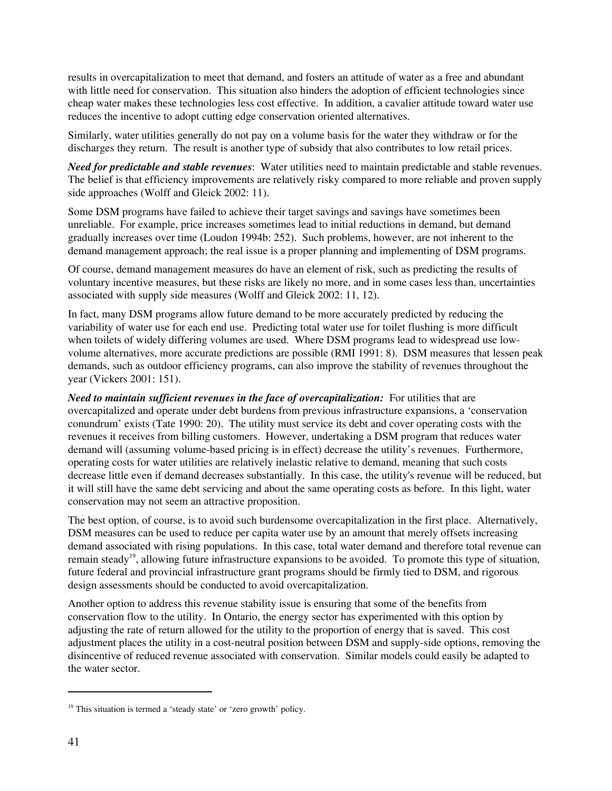results in overcapitalization to meet that demand, and fosters an attitude of water as a free and abundant with little need for conservation. This situation also hinders the adoption of efficient technologies since cheap water makes these technologies less cost effective. In addition, a cavalier attitude toward water use reduces the incentive to adopt cutting edge conservation oriented alternatives.

Similarly, water utilities generally do not pay on a volume basis for the water they withdraw or for the discharges they return. The result is another type of subsidy that also contributes to low retail prices.

*Need for predictable and stable revenues*: Water utilities need to maintain predictable and stable revenues. The belief is that efficiency improvements are relatively risky compared to more reliable and proven supply side approaches (Wolff and Gleick 2002: 11).

Some DSM programs have failed to achieve their target savings and savings have sometimes been unreliable. For example, price increases sometimes lead to initial reductions in demand, but demand gradually increases over time (Loudon 1994b: 252). Such problems, however, are not inherent to the demand management approach; the real issue is a proper planning and implementing of DSM programs.

Of course, demand management measures do have an element of risk, such as predicting the results of voluntary incentive measures, but these risks are likely no more, and in some cases less than, uncertainties associated with supply side measures (Wolff and Gleick 2002: 11, 12).

In fact, many DSM programs allow future demand to be more accurately predicted by reducing the variability of water use for each end use. Predicting total water use for toilet flushing is more difficult when toilets of widely differing volumes are used. Where DSM programs lead to widespread use lowvolume alternatives, more accurate predictions are possible (RMI 1991: 8). DSM measures that lessen peak demands, such as outdoor efficiency programs, can also improve the stability of revenues throughout the year (Vickers 2001: 151).

*Need to maintain sufficient revenues in the face of overcapitalization:* For utilities that are overcapitalized and operate under debt burdens from previous infrastructure expansions, a 'conservation conundrum' exists (Tate 1990: 20). The utility must service its debt and cover operating costs with the revenues it receives from billing customers. However, undertaking a DSM program that reduces water demand will (assuming volume-based pricing is in effect) decrease the utility's revenues. Furthermore, operating costs for water utilities are relatively inelastic relative to demand, meaning that such costs decrease little even if demand decreases substantially. In this case, the utility's revenue will be reduced, but it will still have the same debt servicing and about the same operating costs as before. In this light, water conservation may not seem an attractive proposition.

The best option, of course, is to avoid such burdensome overcapitalization in the first place. Alternatively, DSM measures can be used to reduce per capita water use by an amount that merely offsets increasing demand associated with rising populations. In this case, total water demand and therefore total revenue can remain steady<sup>19</sup>, allowing future infrastructure expansions to be avoided. To promote this type of situation, future federal and provincial infrastructure grant programs should be firmly tied to DSM, and rigorous design assessments should be conducted to avoid overcapitalization.

Another option to address this revenue stability issue is ensuring that some of the benefits from conservation flow to the utility. In Ontario, the energy sector has experimented with this option by adjusting the rate of return allowed for the utility to the proportion of energy that is saved. This cost adjustment places the utility in a cost-neutral position between DSM and supply-side options, removing the disincentive of reduced revenue associated with conservation. Similar models could easily be adapted to the water sector.

<sup>&</sup>lt;sup>19</sup> This situation is termed a 'steady state' or 'zero growth' policy.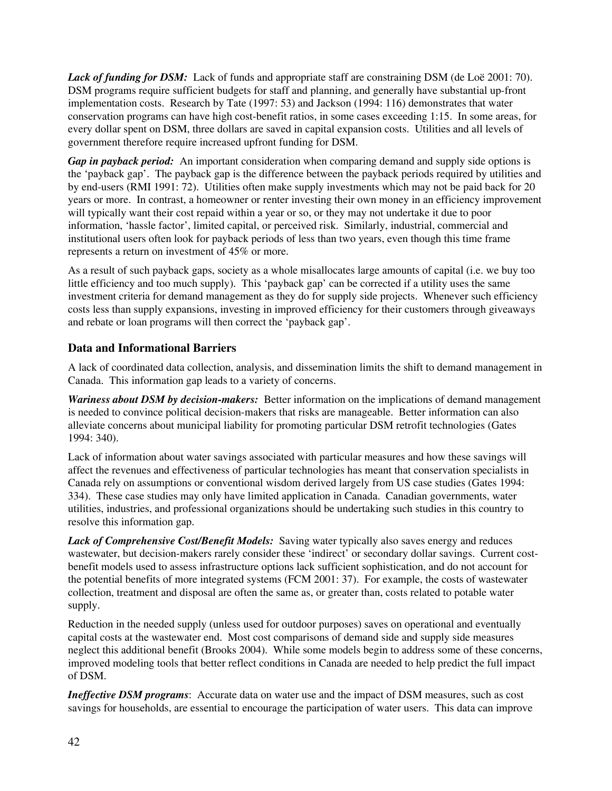Lack of funding for DSM: Lack of funds and appropriate staff are constraining DSM (de Loë 2001: 70). DSM programs require sufficient budgets for staff and planning, and generally have substantial up-front implementation costs. Research by Tate (1997: 53) and Jackson (1994: 116) demonstrates that water conservation programs can have high cost-benefit ratios, in some cases exceeding 1:15. In some areas, for every dollar spent on DSM, three dollars are saved in capital expansion costs. Utilities and all levels of government therefore require increased upfront funding for DSM.

*Gap in payback period:* An important consideration when comparing demand and supply side options is the 'payback gap'. The payback gap is the difference between the payback periods required by utilities and by end-users (RMI 1991: 72). Utilities often make supply investments which may not be paid back for 20 years or more. In contrast, a homeowner or renter investing their own money in an efficiency improvement will typically want their cost repaid within a year or so, or they may not undertake it due to poor information, 'hassle factor', limited capital, or perceived risk. Similarly, industrial, commercial and institutional users often look for payback periods of less than two years, even though this time frame represents a return on investment of 45% or more.

As a result of such payback gaps, society as a whole misallocates large amounts of capital (i.e. we buy too little efficiency and too much supply). This 'payback gap' can be corrected if a utility uses the same investment criteria for demand management as they do for supply side projects. Whenever such efficiency costs less than supply expansions, investing in improved efficiency for their customers through giveaways and rebate or loan programs will then correct the 'payback gap'.

## **Data and Informational Barriers**

A lack of coordinated data collection, analysis, and dissemination limits the shift to demand management in Canada. This information gap leads to a variety of concerns.

*Wariness about DSM by decision-makers:* Better information on the implications of demand management is needed to convince political decision-makers that risks are manageable. Better information can also alleviate concerns about municipal liability for promoting particular DSM retrofit technologies (Gates 1994: 340).

Lack of information about water savings associated with particular measures and how these savings will affect the revenues and effectiveness of particular technologies has meant that conservation specialists in Canada rely on assumptions or conventional wisdom derived largely from US case studies (Gates 1994: 334). These case studies may only have limited application in Canada. Canadian governments, water utilities, industries, and professional organizations should be undertaking such studies in this country to resolve this information gap.

*Lack of Comprehensive Cost/Benefit Models:* Saving water typically also saves energy and reduces wastewater, but decision-makers rarely consider these 'indirect' or secondary dollar savings. Current costbenefit models used to assess infrastructure options lack sufficient sophistication, and do not account for the potential benefits of more integrated systems (FCM 2001: 37). For example, the costs of wastewater collection, treatment and disposal are often the same as, or greater than, costs related to potable water supply.

Reduction in the needed supply (unless used for outdoor purposes) saves on operational and eventually capital costs at the wastewater end. Most cost comparisons of demand side and supply side measures neglect this additional benefit (Brooks 2004). While some models begin to address some of these concerns, improved modeling tools that better reflect conditions in Canada are needed to help predict the full impact of DSM.

*Ineffective DSM programs*: Accurate data on water use and the impact of DSM measures, such as cost savings for households, are essential to encourage the participation of water users. This data can improve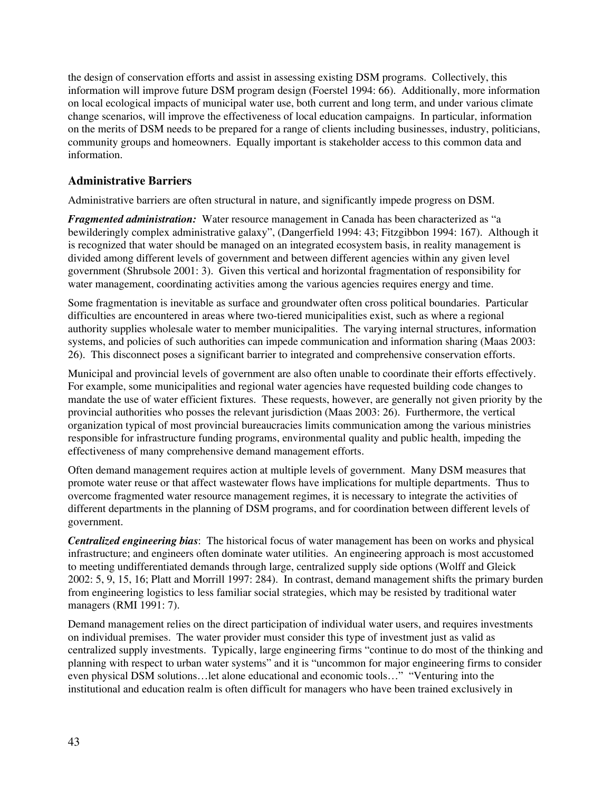the design of conservation efforts and assist in assessing existing DSM programs. Collectively, this information will improve future DSM program design (Foerstel 1994: 66). Additionally, more information on local ecological impacts of municipal water use, both current and long term, and under various climate change scenarios, will improve the effectiveness of local education campaigns. In particular, information on the merits of DSM needs to be prepared for a range of clients including businesses, industry, politicians, community groups and homeowners. Equally important is stakeholder access to this common data and information.

## **Administrative Barriers**

Administrative barriers are often structural in nature, and significantly impede progress on DSM.

*Fragmented administration:* Water resource management in Canada has been characterized as "a bewilderingly complex administrative galaxy", (Dangerfield 1994: 43; Fitzgibbon 1994: 167). Although it is recognized that water should be managed on an integrated ecosystem basis, in reality management is divided among different levels of government and between different agencies within any given level government (Shrubsole 2001: 3). Given this vertical and horizontal fragmentation of responsibility for water management, coordinating activities among the various agencies requires energy and time.

Some fragmentation is inevitable as surface and groundwater often cross political boundaries. Particular difficulties are encountered in areas where two-tiered municipalities exist, such as where a regional authority supplies wholesale water to member municipalities. The varying internal structures, information systems, and policies of such authorities can impede communication and information sharing (Maas 2003: 26). This disconnect poses a significant barrier to integrated and comprehensive conservation efforts.

Municipal and provincial levels of government are also often unable to coordinate their efforts effectively. For example, some municipalities and regional water agencies have requested building code changes to mandate the use of water efficient fixtures. These requests, however, are generally not given priority by the provincial authorities who posses the relevant jurisdiction (Maas 2003: 26). Furthermore, the vertical organization typical of most provincial bureaucracies limits communication among the various ministries responsible for infrastructure funding programs, environmental quality and public health, impeding the effectiveness of many comprehensive demand management efforts.

Often demand management requires action at multiple levels of government. Many DSM measures that promote water reuse or that affect wastewater flows have implications for multiple departments. Thus to overcome fragmented water resource management regimes, it is necessary to integrate the activities of different departments in the planning of DSM programs, and for coordination between different levels of government.

*Centralized engineering bias*: The historical focus of water management has been on works and physical infrastructure; and engineers often dominate water utilities. An engineering approach is most accustomed to meeting undifferentiated demands through large, centralized supply side options (Wolff and Gleick 2002: 5, 9, 15, 16; Platt and Morrill 1997: 284). In contrast, demand management shifts the primary burden from engineering logistics to less familiar social strategies, which may be resisted by traditional water managers (RMI 1991: 7).

Demand management relies on the direct participation of individual water users, and requires investments on individual premises. The water provider must consider this type of investment just as valid as centralized supply investments. Typically, large engineering firms "continue to do most of the thinking and planning with respect to urban water systems" and it is "uncommon for major engineering firms to consider even physical DSM solutions…let alone educational and economic tools…" "Venturing into the institutional and education realm is often difficult for managers who have been trained exclusively in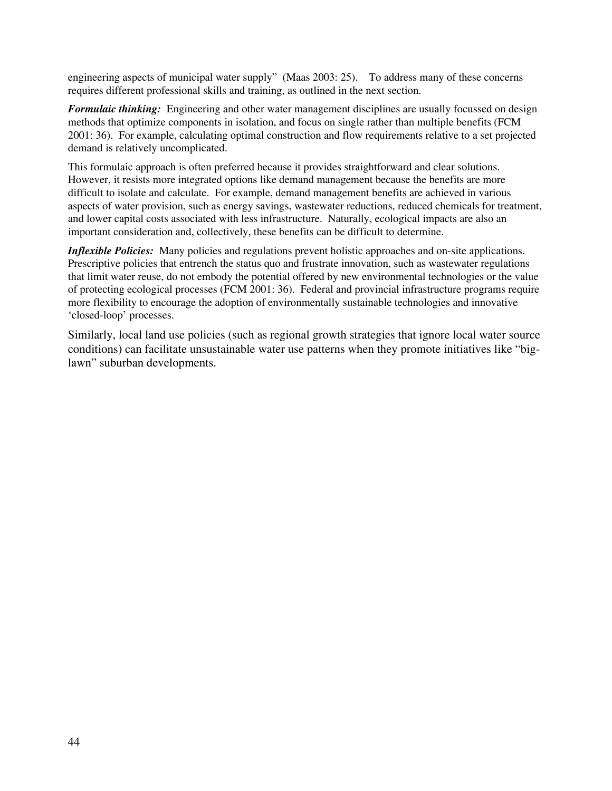engineering aspects of municipal water supply" (Maas 2003: 25). To address many of these concerns requires different professional skills and training, as outlined in the next section.

*Formulaic thinking:* Engineering and other water management disciplines are usually focussed on design methods that optimize components in isolation, and focus on single rather than multiple benefits (FCM 2001: 36). For example, calculating optimal construction and flow requirements relative to a set projected demand is relatively uncomplicated.

This formulaic approach is often preferred because it provides straightforward and clear solutions. However, it resists more integrated options like demand management because the benefits are more difficult to isolate and calculate. For example, demand management benefits are achieved in various aspects of water provision, such as energy savings, wastewater reductions, reduced chemicals for treatment, and lower capital costs associated with less infrastructure. Naturally, ecological impacts are also an important consideration and, collectively, these benefits can be difficult to determine.

*Inflexible Policies:* Many policies and regulations prevent holistic approaches and on-site applications. Prescriptive policies that entrench the status quo and frustrate innovation, such as wastewater regulations that limit water reuse, do not embody the potential offered by new environmental technologies or the value of protecting ecological processes (FCM 2001: 36). Federal and provincial infrastructure programs require more flexibility to encourage the adoption of environmentally sustainable technologies and innovative 'closed-loop' processes.

Similarly, local land use policies (such as regional growth strategies that ignore local water source conditions) can facilitate unsustainable water use patterns when they promote initiatives like "biglawn" suburban developments.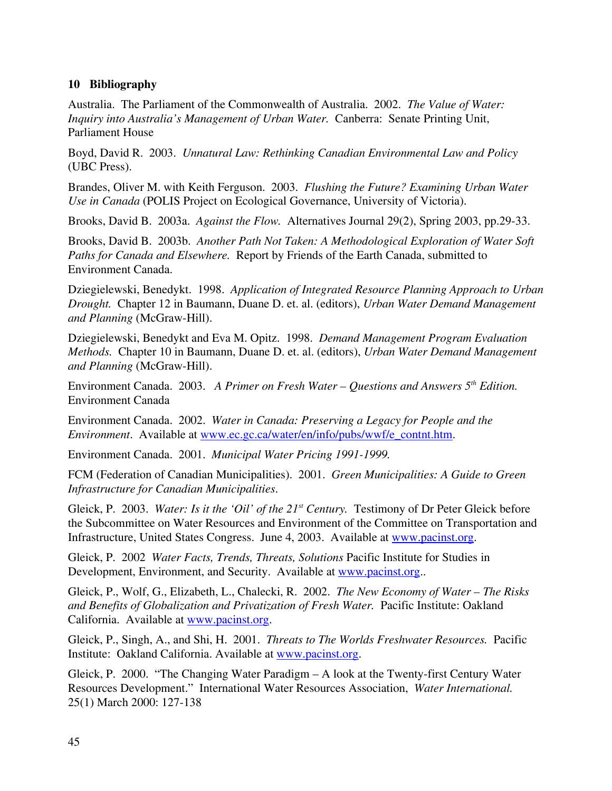### **10 Bibliography**

Australia. The Parliament of the Commonwealth of Australia. 2002. *The Value of Water: Inquiry into Australia's Management of Urban Water.* Canberra: Senate Printing Unit, Parliament House

Boyd, David R. 2003. *Unnatural Law: Rethinking Canadian Environmental Law and Policy* (UBC Press).

Brandes, Oliver M. with Keith Ferguson. 2003. *Flushing the Future? Examining Urban Water Use in Canada* (POLIS Project on Ecological Governance, University of Victoria).

Brooks, David B. 2003a. *Against the Flow.* Alternatives Journal 29(2), Spring 2003, pp.29-33.

Brooks, David B. 2003b. *Another Path Not Taken: A Methodological Exploration of Water Soft Paths for Canada and Elsewhere.* Report by Friends of the Earth Canada, submitted to Environment Canada.

Dziegielewski, Benedykt. 1998. *Application of Integrated Resource Planning Approach to Urban Drought.* Chapter 12 in Baumann, Duane D. et. al. (editors), *Urban Water Demand Management and Planning* (McGraw-Hill).

Dziegielewski, Benedykt and Eva M. Opitz. 1998. *Demand Management Program Evaluation Methods.* Chapter 10 in Baumann, Duane D. et. al. (editors), *Urban Water Demand Management and Planning* (McGraw-Hill).

Environment Canada. 2003. *A Primer on Fresh Water – Questions and Answers* 5<sup>th</sup> Edition. Environment Canada

Environment Canada. 2002. *Water in Canada: Preserving a Legacy for People and the Environment*. Available at www.ec.gc.ca/water/en/info/pubs/wwf/e\_contnt.htm.

Environment Canada. 2001. *Municipal Water Pricing 1991-1999.* 

FCM (Federation of Canadian Municipalities). 2001. *Green Municipalities: A Guide to Green Infrastructure for Canadian Municipalities*.

Gleick, P. 2003. *Water: Is it the 'Oil' of the 21<sup>st</sup> Century*. Testimony of Dr Peter Gleick before the Subcommittee on Water Resources and Environment of the Committee on Transportation and Infrastructure, United States Congress. June 4, 2003. Available at www.pacinst.org.

Gleick, P. 2002 *Water Facts, Trends, Threats, Solutions* Pacific Institute for Studies in Development, Environment, and Security. Available at www.pacinst.org..

Gleick, P., Wolf, G., Elizabeth, L., Chalecki, R. 2002. *The New Economy of Water – The Risks and Benefits of Globalization and Privatization of Fresh Water.* Pacific Institute: Oakland California. Available at www.pacinst.org.

Gleick, P., Singh, A., and Shi, H. 2001. *Threats to The Worlds Freshwater Resources.* Pacific Institute: Oakland California. Available at www.pacinst.org.

Gleick, P. 2000. "The Changing Water Paradigm – A look at the Twenty-first Century Water Resources Development." International Water Resources Association, *Water International.*  25(1) March 2000: 127-138